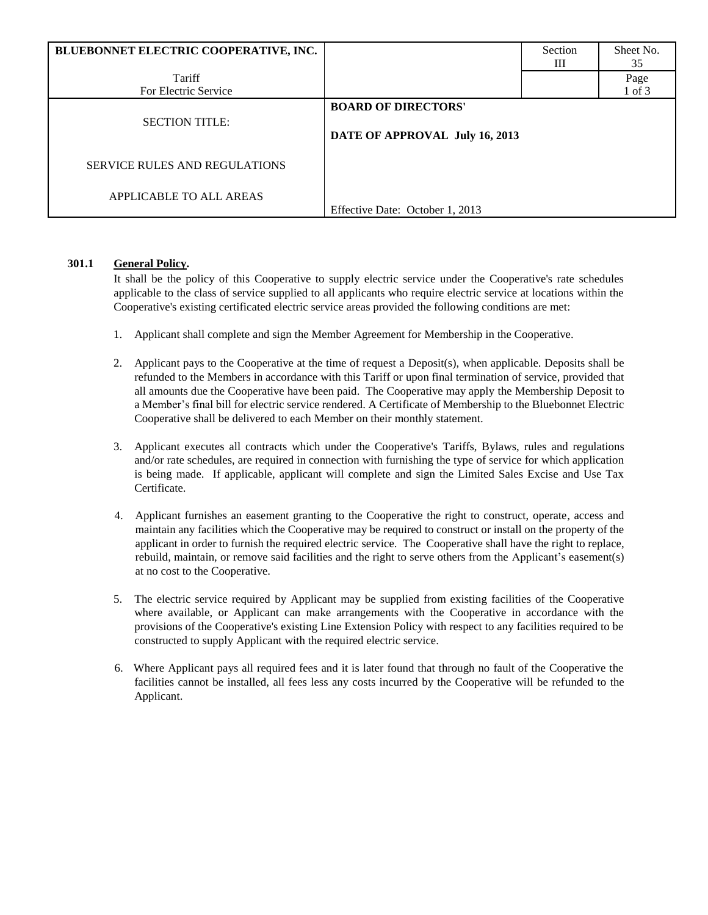| BLUEBONNET ELECTRIC COOPERATIVE, INC. |                                                              | Section<br>Ш | Sheet No.<br>35 |
|---------------------------------------|--------------------------------------------------------------|--------------|-----------------|
| Tariff                                |                                                              |              | Page            |
| For Electric Service                  |                                                              |              | 1 of 3          |
| <b>SECTION TITLE:</b>                 | <b>BOARD OF DIRECTORS'</b><br>DATE OF APPROVAL July 16, 2013 |              |                 |
| <b>SERVICE RULES AND REGULATIONS</b>  |                                                              |              |                 |
| APPLICABLE TO ALL AREAS               | Effective Date: October 1, 2013                              |              |                 |

# **301.1 General Policy.**

It shall be the policy of this Cooperative to supply electric service under the Cooperative's rate schedules applicable to the class of service supplied to all applicants who require electric service at locations within the Cooperative's existing certificated electric service areas provided the following conditions are met:

- 1. Applicant shall complete and sign the Member Agreement for Membership in the Cooperative.
- 2. Applicant pays to the Cooperative at the time of request a Deposit(s), when applicable. Deposits shall be refunded to the Members in accordance with this Tariff or upon final termination of service, provided that all amounts due the Cooperative have been paid. The Cooperative may apply the Membership Deposit to a Member's final bill for electric service rendered. A Certificate of Membership to the Bluebonnet Electric Cooperative shall be delivered to each Member on their monthly statement.
- 3. Applicant executes all contracts which under the Cooperative's Tariffs, Bylaws, rules and regulations and/or rate schedules, are required in connection with furnishing the type of service for which application is being made. If applicable, applicant will complete and sign the Limited Sales Excise and Use Tax Certificate.
- 4. Applicant furnishes an easement granting to the Cooperative the right to construct, operate, access and maintain any facilities which the Cooperative may be required to construct or install on the property of the applicant in order to furnish the required electric service. The Cooperative shall have the right to replace, rebuild, maintain, or remove said facilities and the right to serve others from the Applicant's easement(s) at no cost to the Cooperative.
- 5. The electric service required by Applicant may be supplied from existing facilities of the Cooperative where available, or Applicant can make arrangements with the Cooperative in accordance with the provisions of the Cooperative's existing Line Extension Policy with respect to any facilities required to be constructed to supply Applicant with the required electric service.
- 6. Where Applicant pays all required fees and it is later found that through no fault of the Cooperative the facilities cannot be installed, all fees less any costs incurred by the Cooperative will be refunded to the Applicant.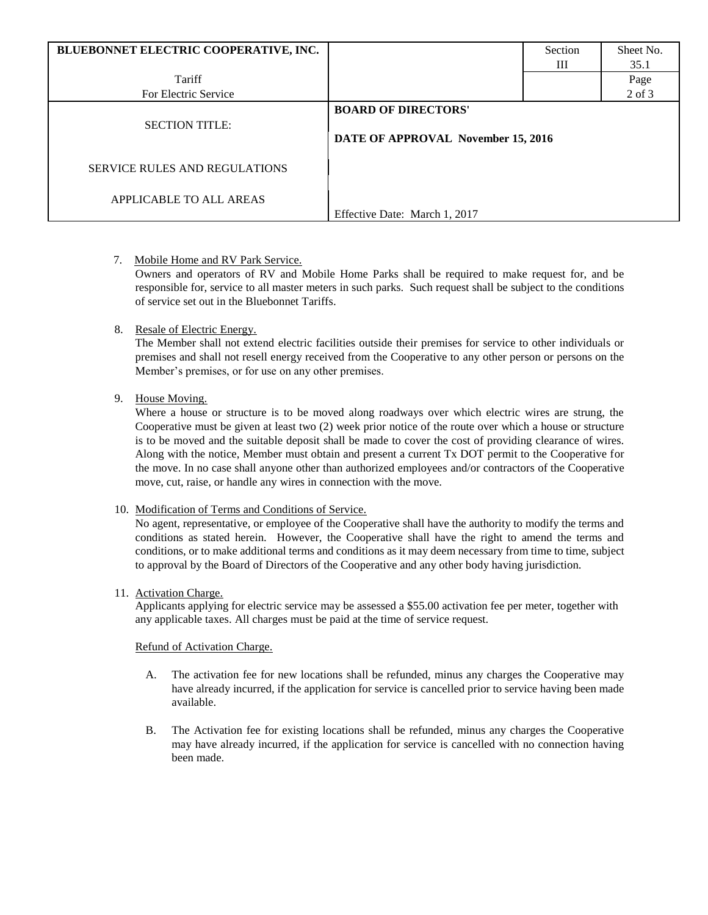| BLUEBONNET ELECTRIC COOPERATIVE, INC. |                                                                  | Section | Sheet No.  |
|---------------------------------------|------------------------------------------------------------------|---------|------------|
|                                       |                                                                  | Ш       | 35.1       |
| Tariff                                |                                                                  |         | Page       |
| For Electric Service                  |                                                                  |         | $2$ of $3$ |
| <b>SECTION TITLE:</b>                 | <b>BOARD OF DIRECTORS'</b><br>DATE OF APPROVAL November 15, 2016 |         |            |
| SERVICE RULES AND REGULATIONS         |                                                                  |         |            |
| APPLICABLE TO ALL AREAS               | Effective Date: March 1, 2017                                    |         |            |

7. Mobile Home and RV Park Service.

Owners and operators of RV and Mobile Home Parks shall be required to make request for, and be responsible for, service to all master meters in such parks. Such request shall be subject to the conditions of service set out in the Bluebonnet Tariffs.

## 8. Resale of Electric Energy.

The Member shall not extend electric facilities outside their premises for service to other individuals or premises and shall not resell energy received from the Cooperative to any other person or persons on the Member's premises, or for use on any other premises.

# 9. House Moving.

Where a house or structure is to be moved along roadways over which electric wires are strung, the Cooperative must be given at least two (2) week prior notice of the route over which a house or structure is to be moved and the suitable deposit shall be made to cover the cost of providing clearance of wires. Along with the notice, Member must obtain and present a current Tx DOT permit to the Cooperative for the move. In no case shall anyone other than authorized employees and/or contractors of the Cooperative move, cut, raise, or handle any wires in connection with the move.

## 10. Modification of Terms and Conditions of Service.

No agent, representative, or employee of the Cooperative shall have the authority to modify the terms and conditions as stated herein. However, the Cooperative shall have the right to amend the terms and conditions, or to make additional terms and conditions as it may deem necessary from time to time, subject to approval by the Board of Directors of the Cooperative and any other body having jurisdiction.

## 11. Activation Charge.

Applicants applying for electric service may be assessed a \$55.00 activation fee per meter, together with any applicable taxes. All charges must be paid at the time of service request.

# Refund of Activation Charge.

- A. The activation fee for new locations shall be refunded, minus any charges the Cooperative may have already incurred, if the application for service is cancelled prior to service having been made available.
- B. The Activation fee for existing locations shall be refunded, minus any charges the Cooperative may have already incurred, if the application for service is cancelled with no connection having been made.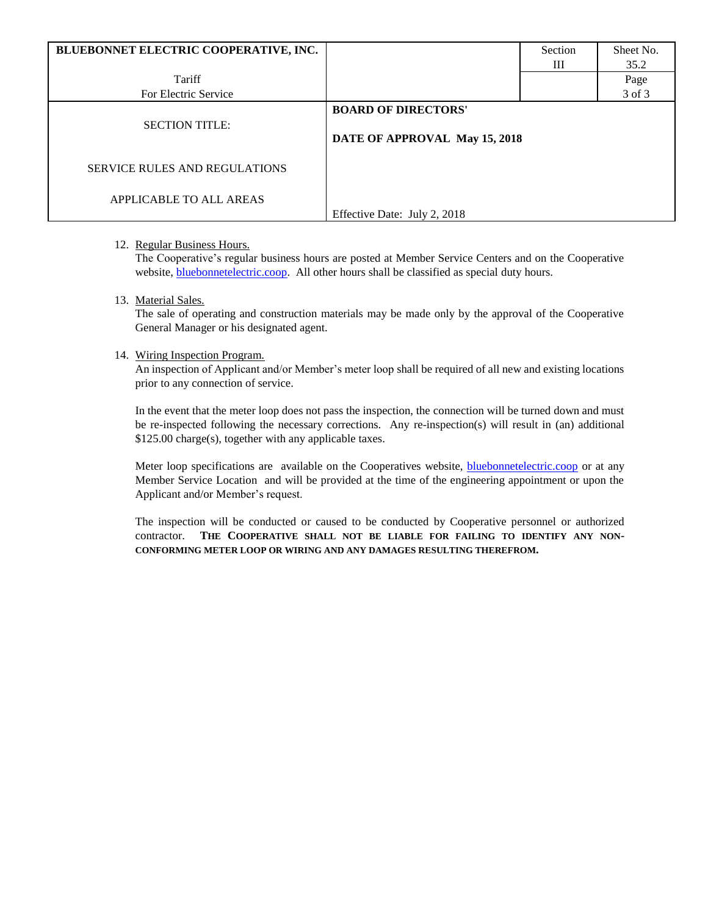| BLUEBONNET ELECTRIC COOPERATIVE, INC. |                               | Section | Sheet No. |
|---------------------------------------|-------------------------------|---------|-----------|
|                                       |                               | Ш       | 35.2      |
| Tariff                                |                               |         | Page      |
| For Electric Service                  |                               |         | 3 of 3    |
|                                       | <b>BOARD OF DIRECTORS'</b>    |         |           |
| <b>SECTION TITLE:</b>                 |                               |         |           |
|                                       | DATE OF APPROVAL May 15, 2018 |         |           |
| <b>SERVICE RULES AND REGULATIONS</b>  |                               |         |           |
| APPLICABLE TO ALL AREAS               |                               |         |           |
|                                       | Effective Date: July 2, 2018  |         |           |

## 12. Regular Business Hours.

The Cooperative's regular business hours are posted at Member Service Centers and on the Cooperative website, **bluebonnetelectric.coop**. All other hours shall be classified as special duty hours.

#### 13. Material Sales.

The sale of operating and construction materials may be made only by the approval of the Cooperative General Manager or his designated agent.

#### 14. Wiring Inspection Program.

An inspection of Applicant and/or Member's meter loop shall be required of all new and existing locations prior to any connection of service.

In the event that the meter loop does not pass the inspection, the connection will be turned down and must be re-inspected following the necessary corrections. Any re-inspection(s) will result in (an) additional \$125.00 charge(s), together with any applicable taxes.

Meter loop specifications are available on the Cooperatives website, **bluebonnetelectric.coop** or at any Member Service Location and will be provided at the time of the engineering appointment or upon the Applicant and/or Member's request.

The inspection will be conducted or caused to be conducted by Cooperative personnel or authorized contractor. **THE COOPERATIVE SHALL NOT BE LIABLE FOR FAILING TO IDENTIFY ANY NON-CONFORMING METER LOOP OR WIRING AND ANY DAMAGES RESULTING THEREFROM.**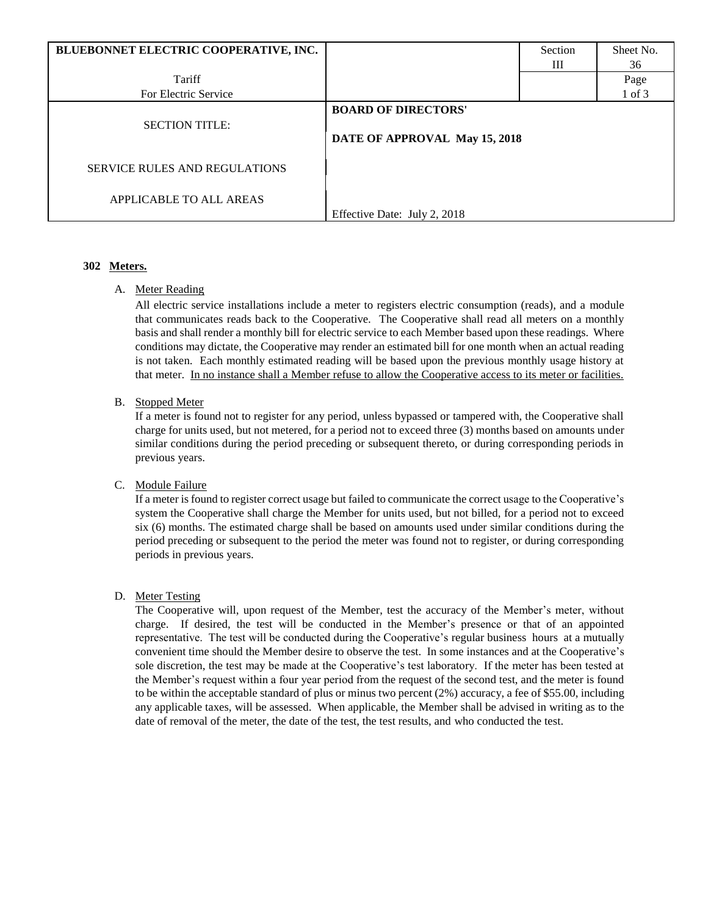| BLUEBONNET ELECTRIC COOPERATIVE, INC. |                                                             | Section | Sheet No.  |
|---------------------------------------|-------------------------------------------------------------|---------|------------|
|                                       |                                                             | Ш       | 36         |
| Tariff                                |                                                             |         | Page       |
| For Electric Service                  |                                                             |         | $1$ of $3$ |
| <b>SECTION TITLE:</b>                 | <b>BOARD OF DIRECTORS'</b><br>DATE OF APPROVAL May 15, 2018 |         |            |
| <b>SERVICE RULES AND REGULATIONS</b>  |                                                             |         |            |
| APPLICABLE TO ALL AREAS               | Effective Date: July 2, 2018                                |         |            |

# **302 Meters.**

A. Meter Reading

All electric service installations include a meter to registers electric consumption (reads), and a module that communicates reads back to the Cooperative. The Cooperative shall read all meters on a monthly basis and shall render a monthly bill for electric service to each Member based upon these readings. Where conditions may dictate, the Cooperative may render an estimated bill for one month when an actual reading is not taken. Each monthly estimated reading will be based upon the previous monthly usage history at that meter. In no instance shall a Member refuse to allow the Cooperative access to its meter or facilities.

# B. Stopped Meter

If a meter is found not to register for any period, unless bypassed or tampered with, the Cooperative shall charge for units used, but not metered, for a period not to exceed three (3) months based on amounts under similar conditions during the period preceding or subsequent thereto, or during corresponding periods in previous years.

## C. Module Failure

If a meter is found to register correct usage but failed to communicate the correct usage to the Cooperative's system the Cooperative shall charge the Member for units used, but not billed, for a period not to exceed six (6) months. The estimated charge shall be based on amounts used under similar conditions during the period preceding or subsequent to the period the meter was found not to register, or during corresponding periods in previous years.

# D. Meter Testing

The Cooperative will, upon request of the Member, test the accuracy of the Member's meter, without charge. If desired, the test will be conducted in the Member's presence or that of an appointed representative. The test will be conducted during the Cooperative's regular business hours at a mutually convenient time should the Member desire to observe the test. In some instances and at the Cooperative's sole discretion, the test may be made at the Cooperative's test laboratory. If the meter has been tested at the Member's request within a four year period from the request of the second test, and the meter is found to be within the acceptable standard of plus or minus two percent (2%) accuracy, a fee of \$55.00, including any applicable taxes, will be assessed. When applicable, the Member shall be advised in writing as to the date of removal of the meter, the date of the test, the test results, and who conducted the test.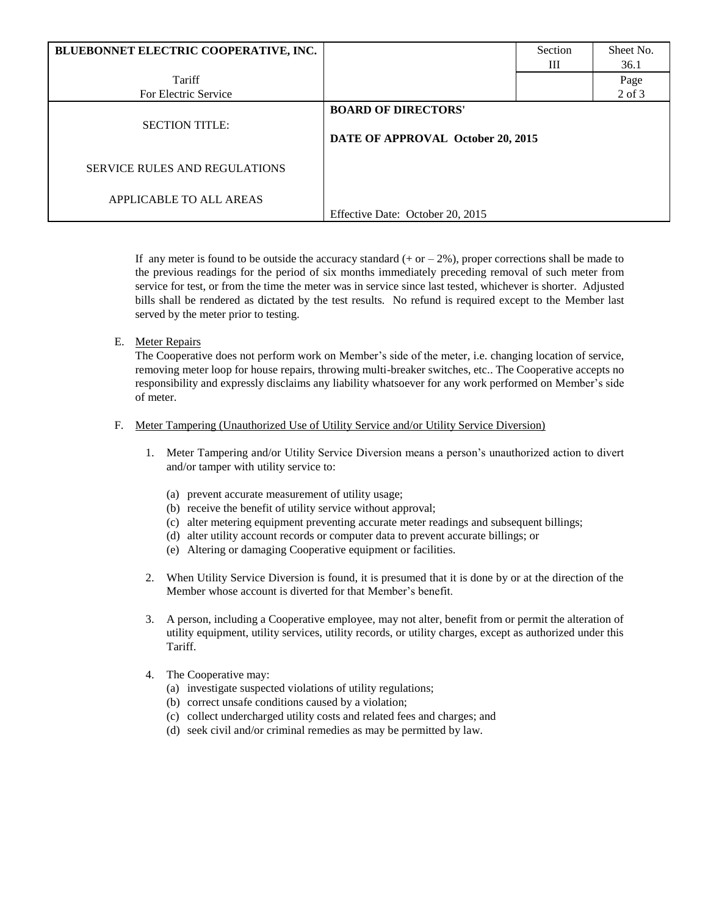| BLUEBONNET ELECTRIC COOPERATIVE, INC. |                                                                 | Section | Sheet No.  |
|---------------------------------------|-----------------------------------------------------------------|---------|------------|
|                                       |                                                                 | Ш       | 36.1       |
| Tariff                                |                                                                 |         | Page       |
| For Electric Service                  |                                                                 |         | $2$ of $3$ |
| <b>SECTION TITLE:</b>                 | <b>BOARD OF DIRECTORS'</b><br>DATE OF APPROVAL October 20, 2015 |         |            |
| <b>SERVICE RULES AND REGULATIONS</b>  |                                                                 |         |            |
| APPLICABLE TO ALL AREAS               | Effective Date: October 20, 2015                                |         |            |

If any meter is found to be outside the accuracy standard  $(+ or -2\%)$ , proper corrections shall be made to the previous readings for the period of six months immediately preceding removal of such meter from service for test, or from the time the meter was in service since last tested, whichever is shorter. Adjusted bills shall be rendered as dictated by the test results. No refund is required except to the Member last served by the meter prior to testing.

E. Meter Repairs

The Cooperative does not perform work on Member's side of the meter, i.e. changing location of service, removing meter loop for house repairs, throwing multi-breaker switches, etc.. The Cooperative accepts no responsibility and expressly disclaims any liability whatsoever for any work performed on Member's side of meter.

#### F. Meter Tampering (Unauthorized Use of Utility Service and/or Utility Service Diversion)

- 1. Meter Tampering and/or Utility Service Diversion means a person's unauthorized action to divert and/or tamper with utility service to:
	- (a) prevent accurate measurement of utility usage;
	- (b) receive the benefit of utility service without approval;
	- (c) alter metering equipment preventing accurate meter readings and subsequent billings;
	- (d) alter utility account records or computer data to prevent accurate billings; or
	- (e) Altering or damaging Cooperative equipment or facilities.
- 2. When Utility Service Diversion is found, it is presumed that it is done by or at the direction of the Member whose account is diverted for that Member's benefit.
- 3. A person, including a Cooperative employee, may not alter, benefit from or permit the alteration of utility equipment, utility services, utility records, or utility charges, except as authorized under this Tariff.
- 4. The Cooperative may:
	- (a) investigate suspected violations of utility regulations;
	- (b) correct unsafe conditions caused by a violation;
	- (c) collect undercharged utility costs and related fees and charges; and
	- (d) seek civil and/or criminal remedies as may be permitted by law.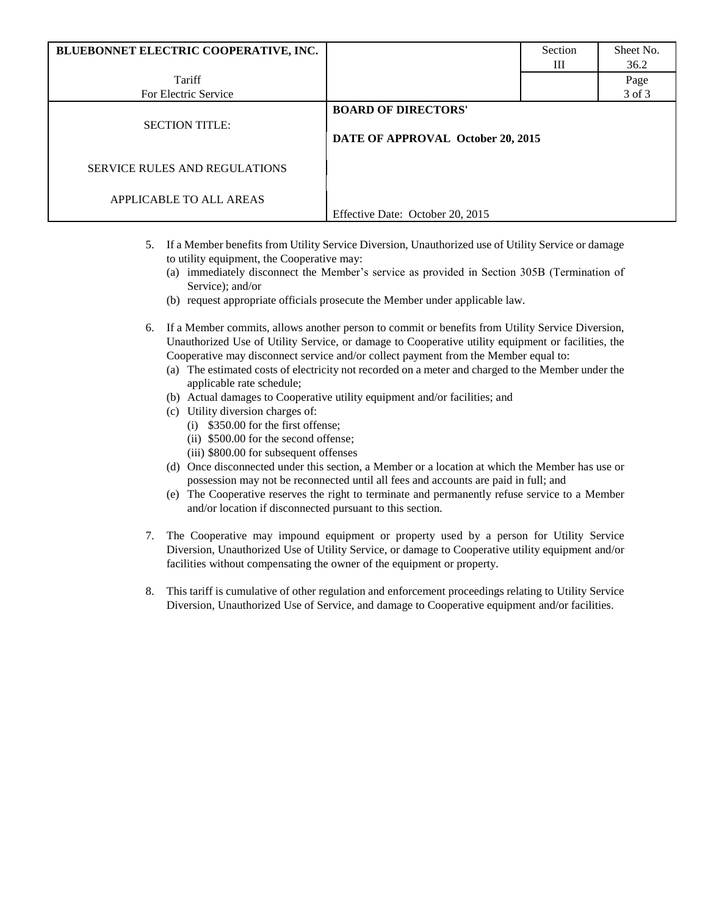| BLUEBONNET ELECTRIC COOPERATIVE, INC. |                                                                 | Section | Sheet No. |
|---------------------------------------|-----------------------------------------------------------------|---------|-----------|
|                                       |                                                                 | Ш       | 36.2      |
| Tariff                                |                                                                 |         | Page      |
| For Electric Service                  |                                                                 |         | 3 of 3    |
| <b>SECTION TITLE:</b>                 | <b>BOARD OF DIRECTORS'</b><br>DATE OF APPROVAL October 20, 2015 |         |           |
| <b>SERVICE RULES AND REGULATIONS</b>  |                                                                 |         |           |
| APPLICABLE TO ALL AREAS               | Effective Date: October 20, 2015                                |         |           |
|                                       |                                                                 |         |           |

- 5. If a Member benefits from Utility Service Diversion, Unauthorized use of Utility Service or damage to utility equipment, the Cooperative may:
	- (a) immediately disconnect the Member's service as provided in Section 305B (Termination of Service); and/or
	- (b) request appropriate officials prosecute the Member under applicable law.
- 6. If a Member commits, allows another person to commit or benefits from Utility Service Diversion, Unauthorized Use of Utility Service, or damage to Cooperative utility equipment or facilities, the Cooperative may disconnect service and/or collect payment from the Member equal to:
	- (a) The estimated costs of electricity not recorded on a meter and charged to the Member under the applicable rate schedule;
	- (b) Actual damages to Cooperative utility equipment and/or facilities; and
	- (c) Utility diversion charges of:
		- (i) \$350.00 for the first offense;
		- (ii) \$500.00 for the second offense;
		- (iii) \$800.00 for subsequent offenses
	- (d) Once disconnected under this section, a Member or a location at which the Member has use or possession may not be reconnected until all fees and accounts are paid in full; and
	- (e) The Cooperative reserves the right to terminate and permanently refuse service to a Member and/or location if disconnected pursuant to this section.
- 7. The Cooperative may impound equipment or property used by a person for Utility Service Diversion, Unauthorized Use of Utility Service, or damage to Cooperative utility equipment and/or facilities without compensating the owner of the equipment or property.
- 8. This tariff is cumulative of other regulation and enforcement proceedings relating to Utility Service Diversion, Unauthorized Use of Service, and damage to Cooperative equipment and/or facilities.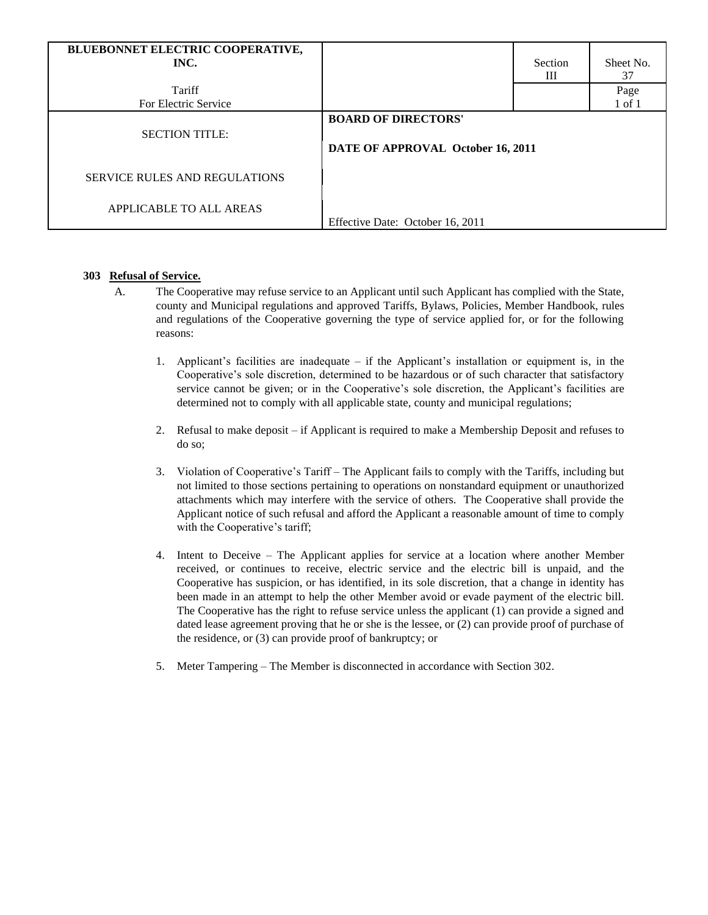| BLUEBONNET ELECTRIC COOPERATIVE,<br>INC. |                                                                 | Section | Sheet No.  |
|------------------------------------------|-----------------------------------------------------------------|---------|------------|
|                                          |                                                                 | Ш       | 37         |
| Tariff                                   |                                                                 |         | Page       |
| For Electric Service                     |                                                                 |         | $1$ of $1$ |
| <b>SECTION TITLE:</b>                    | <b>BOARD OF DIRECTORS'</b><br>DATE OF APPROVAL October 16, 2011 |         |            |
| SERVICE RULES AND REGULATIONS            |                                                                 |         |            |
| APPLICABLE TO ALL AREAS                  | Effective Date: October 16, 2011                                |         |            |

## **303 Refusal of Service.**

- A. The Cooperative may refuse service to an Applicant until such Applicant has complied with the State, county and Municipal regulations and approved Tariffs, Bylaws, Policies, Member Handbook, rules and regulations of the Cooperative governing the type of service applied for, or for the following reasons:
	- 1. Applicant's facilities are inadequate if the Applicant's installation or equipment is, in the Cooperative's sole discretion, determined to be hazardous or of such character that satisfactory service cannot be given; or in the Cooperative's sole discretion, the Applicant's facilities are determined not to comply with all applicable state, county and municipal regulations;
	- 2. Refusal to make deposit if Applicant is required to make a Membership Deposit and refuses to do so;
	- 3. Violation of Cooperative's Tariff The Applicant fails to comply with the Tariffs, including but not limited to those sections pertaining to operations on nonstandard equipment or unauthorized attachments which may interfere with the service of others. The Cooperative shall provide the Applicant notice of such refusal and afford the Applicant a reasonable amount of time to comply with the Cooperative's tariff;
	- 4. Intent to Deceive The Applicant applies for service at a location where another Member received, or continues to receive, electric service and the electric bill is unpaid, and the Cooperative has suspicion, or has identified, in its sole discretion, that a change in identity has been made in an attempt to help the other Member avoid or evade payment of the electric bill. The Cooperative has the right to refuse service unless the applicant (1) can provide a signed and dated lease agreement proving that he or she is the lessee, or (2) can provide proof of purchase of the residence, or (3) can provide proof of bankruptcy; or
	- 5. Meter Tampering The Member is disconnected in accordance with Section 302.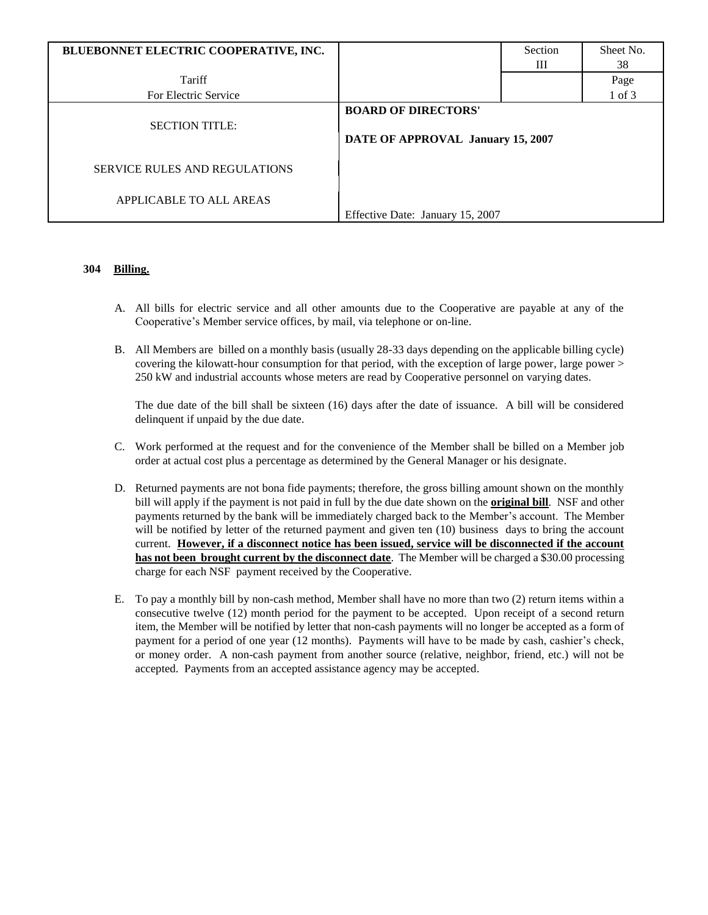| BLUEBONNET ELECTRIC COOPERATIVE, INC. |                                   | Section | Sheet No. |
|---------------------------------------|-----------------------------------|---------|-----------|
|                                       |                                   | Ш       | 38        |
| Tariff                                |                                   |         | Page      |
| For Electric Service                  |                                   |         | 1 of 3    |
|                                       | <b>BOARD OF DIRECTORS'</b>        |         |           |
| <b>SECTION TITLE:</b>                 |                                   |         |           |
|                                       | DATE OF APPROVAL January 15, 2007 |         |           |
|                                       |                                   |         |           |
| <b>SERVICE RULES AND REGULATIONS</b>  |                                   |         |           |
|                                       |                                   |         |           |
| APPLICABLE TO ALL AREAS               |                                   |         |           |
|                                       | Effective Date: January 15, 2007  |         |           |

## **304 Billing.**

- A. All bills for electric service and all other amounts due to the Cooperative are payable at any of the Cooperative's Member service offices, by mail, via telephone or on-line.
- B. All Members are billed on a monthly basis (usually 28-33 days depending on the applicable billing cycle) covering the kilowatt-hour consumption for that period, with the exception of large power, large power > 250 kW and industrial accounts whose meters are read by Cooperative personnel on varying dates.

The due date of the bill shall be sixteen (16) days after the date of issuance. A bill will be considered delinquent if unpaid by the due date.

- C. Work performed at the request and for the convenience of the Member shall be billed on a Member job order at actual cost plus a percentage as determined by the General Manager or his designate.
- D. Returned payments are not bona fide payments; therefore, the gross billing amount shown on the monthly bill will apply if the payment is not paid in full by the due date shown on the **original bill**. NSF and other payments returned by the bank will be immediately charged back to the Member's account. The Member will be notified by letter of the returned payment and given ten (10) business days to bring the account current. **However, if a disconnect notice has been issued, service will be disconnected if the account has not been brought current by the disconnect date**. The Member will be charged a \$30.00 processing charge for each NSF payment received by the Cooperative.
- E. To pay a monthly bill by non-cash method, Member shall have no more than two (2) return items within a consecutive twelve (12) month period for the payment to be accepted. Upon receipt of a second return item, the Member will be notified by letter that non-cash payments will no longer be accepted as a form of payment for a period of one year (12 months). Payments will have to be made by cash, cashier's check, or money order. A non-cash payment from another source (relative, neighbor, friend, etc.) will not be accepted. Payments from an accepted assistance agency may be accepted.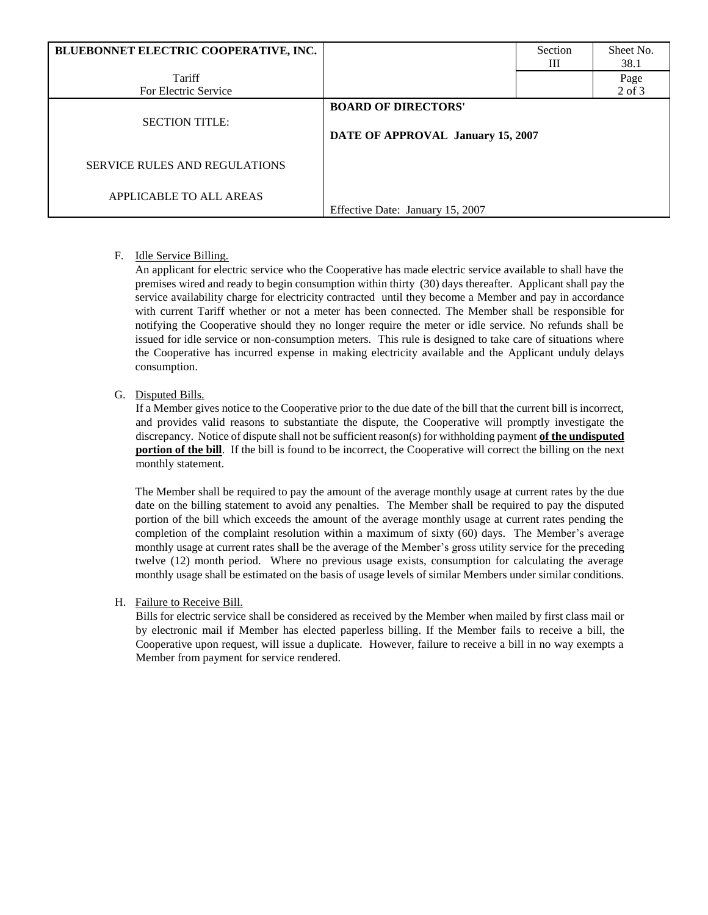| BLUEBONNET ELECTRIC COOPERATIVE, INC. |                                                                 | Section<br>Ш | Sheet No.<br>38.1 |
|---------------------------------------|-----------------------------------------------------------------|--------------|-------------------|
| Tariff                                |                                                                 |              | Page              |
| For Electric Service                  |                                                                 |              | $2$ of $3$        |
| <b>SECTION TITLE:</b>                 | <b>BOARD OF DIRECTORS'</b><br>DATE OF APPROVAL January 15, 2007 |              |                   |
| <b>SERVICE RULES AND REGULATIONS</b>  |                                                                 |              |                   |
| APPLICABLE TO ALL AREAS               | Effective Date: January 15, 2007                                |              |                   |

## F. Idle Service Billing.

An applicant for electric service who the Cooperative has made electric service available to shall have the premises wired and ready to begin consumption within thirty (30) days thereafter. Applicant shall pay the service availability charge for electricity contracted until they become a Member and pay in accordance with current Tariff whether or not a meter has been connected. The Member shall be responsible for notifying the Cooperative should they no longer require the meter or idle service. No refunds shall be issued for idle service or non-consumption meters. This rule is designed to take care of situations where the Cooperative has incurred expense in making electricity available and the Applicant unduly delays consumption.

# G. Disputed Bills.

If a Member gives notice to the Cooperative prior to the due date of the bill that the current bill is incorrect, and provides valid reasons to substantiate the dispute, the Cooperative will promptly investigate the discrepancy. Notice of dispute shall not be sufficient reason(s) for withholding payment **of the undisputed portion of the bill**. If the bill is found to be incorrect, the Cooperative will correct the billing on the next monthly statement.

The Member shall be required to pay the amount of the average monthly usage at current rates by the due date on the billing statement to avoid any penalties. The Member shall be required to pay the disputed portion of the bill which exceeds the amount of the average monthly usage at current rates pending the completion of the complaint resolution within a maximum of sixty (60) days. The Member's average monthly usage at current rates shall be the average of the Member's gross utility service for the preceding twelve (12) month period. Where no previous usage exists, consumption for calculating the average monthly usage shall be estimated on the basis of usage levels of similar Members under similar conditions.

## H. Failure to Receive Bill.

Bills for electric service shall be considered as received by the Member when mailed by first class mail or by electronic mail if Member has elected paperless billing. If the Member fails to receive a bill, the Cooperative upon request, will issue a duplicate. However, failure to receive a bill in no way exempts a Member from payment for service rendered.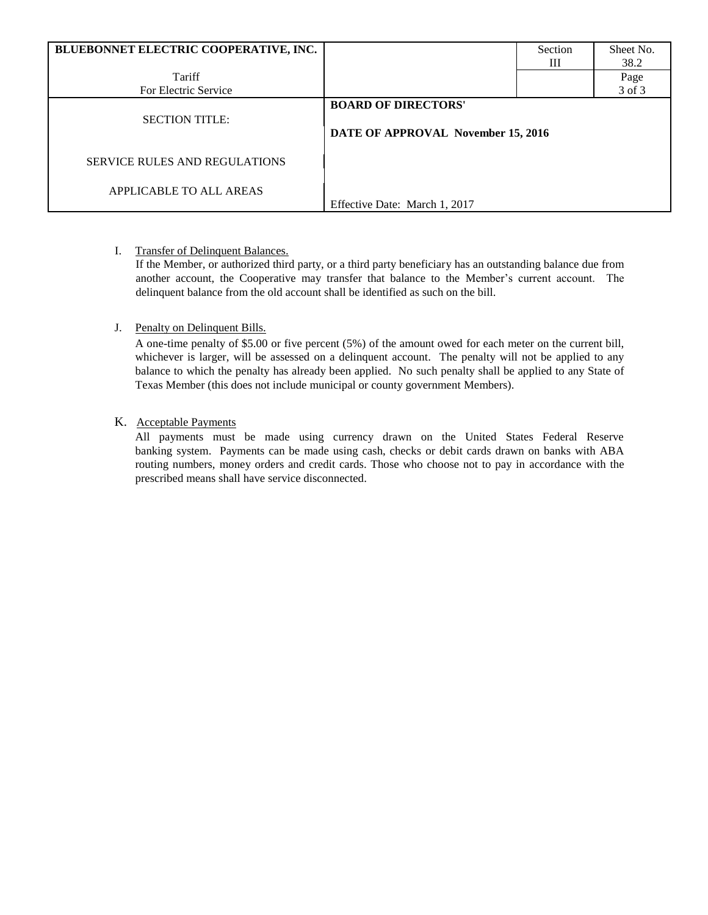| BLUEBONNET ELECTRIC COOPERATIVE, INC. |                                                                  | Section | Sheet No. |
|---------------------------------------|------------------------------------------------------------------|---------|-----------|
|                                       |                                                                  | Ш       | 38.2      |
| Tariff                                |                                                                  |         | Page      |
| For Electric Service                  |                                                                  |         | 3 of 3    |
| <b>SECTION TITLE:</b>                 | <b>BOARD OF DIRECTORS'</b><br>DATE OF APPROVAL November 15, 2016 |         |           |
| <b>SERVICE RULES AND REGULATIONS</b>  |                                                                  |         |           |
| APPLICABLE TO ALL AREAS               | Effective Date: March 1, 2017                                    |         |           |

# I. Transfer of Delinquent Balances.

If the Member, or authorized third party, or a third party beneficiary has an outstanding balance due from another account, the Cooperative may transfer that balance to the Member's current account. The delinquent balance from the old account shall be identified as such on the bill.

# J. Penalty on Delinquent Bills.

A one-time penalty of \$5.00 or five percent (5%) of the amount owed for each meter on the current bill, whichever is larger, will be assessed on a delinquent account. The penalty will not be applied to any balance to which the penalty has already been applied. No such penalty shall be applied to any State of Texas Member (this does not include municipal or county government Members).

# K.Acceptable Payments

All payments must be made using currency drawn on the United States Federal Reserve banking system. Payments can be made using cash, checks or debit cards drawn on banks with ABA routing numbers, money orders and credit cards. Those who choose not to pay in accordance with the prescribed means shall have service disconnected.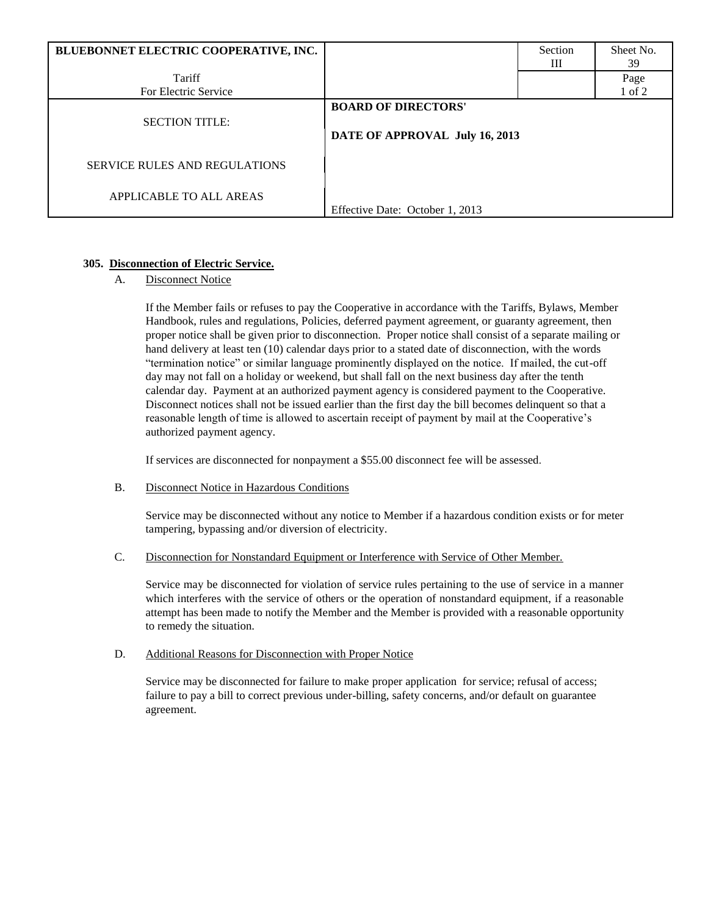| BLUEBONNET ELECTRIC COOPERATIVE, INC. |                                                              | Section<br>Ш | Sheet No.<br>39 |
|---------------------------------------|--------------------------------------------------------------|--------------|-----------------|
| Tariff                                |                                                              |              | Page            |
| For Electric Service                  |                                                              |              | 1 of 2          |
| <b>SECTION TITLE:</b>                 | <b>BOARD OF DIRECTORS'</b><br>DATE OF APPROVAL July 16, 2013 |              |                 |
| <b>SERVICE RULES AND REGULATIONS</b>  |                                                              |              |                 |
| APPLICABLE TO ALL AREAS               | Effective Date: October 1, 2013                              |              |                 |

# **305. Disconnection of Electric Service.**

A. Disconnect Notice

If the Member fails or refuses to pay the Cooperative in accordance with the Tariffs, Bylaws, Member Handbook, rules and regulations, Policies, deferred payment agreement, or guaranty agreement, then proper notice shall be given prior to disconnection. Proper notice shall consist of a separate mailing or hand delivery at least ten (10) calendar days prior to a stated date of disconnection, with the words "termination notice" or similar language prominently displayed on the notice. If mailed, the cut-off day may not fall on a holiday or weekend, but shall fall on the next business day after the tenth calendar day. Payment at an authorized payment agency is considered payment to the Cooperative. Disconnect notices shall not be issued earlier than the first day the bill becomes delinquent so that a reasonable length of time is allowed to ascertain receipt of payment by mail at the Cooperative's authorized payment agency.

If services are disconnected for nonpayment a \$55.00 disconnect fee will be assessed.

## B. Disconnect Notice in Hazardous Conditions

Service may be disconnected without any notice to Member if a hazardous condition exists or for meter tampering, bypassing and/or diversion of electricity.

#### C. Disconnection for Nonstandard Equipment or Interference with Service of Other Member.

Service may be disconnected for violation of service rules pertaining to the use of service in a manner which interferes with the service of others or the operation of nonstandard equipment, if a reasonable attempt has been made to notify the Member and the Member is provided with a reasonable opportunity to remedy the situation.

#### D. Additional Reasons for Disconnection with Proper Notice

Service may be disconnected for failure to make proper application for service; refusal of access; failure to pay a bill to correct previous under-billing, safety concerns, and/or default on guarantee agreement.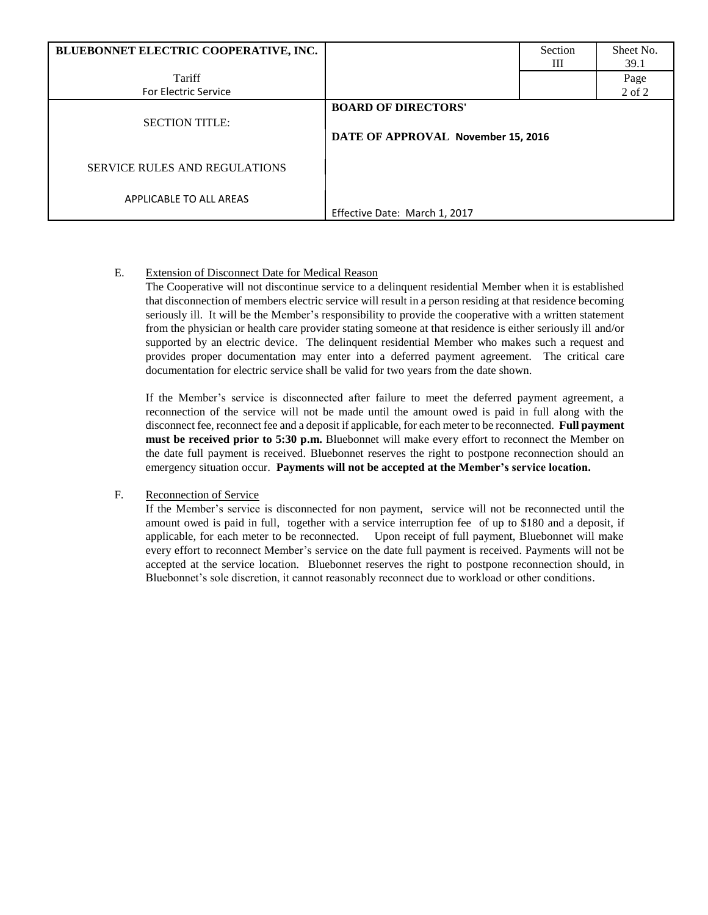| BLUEBONNET ELECTRIC COOPERATIVE, INC. |                                                                  | Section<br>Ш | Sheet No.<br>39.1 |
|---------------------------------------|------------------------------------------------------------------|--------------|-------------------|
| Tariff                                |                                                                  |              | Page              |
| <b>For Electric Service</b>           |                                                                  |              | 2 of 2            |
| <b>SECTION TITLE:</b>                 | <b>BOARD OF DIRECTORS'</b><br>DATE OF APPROVAL November 15, 2016 |              |                   |
| <b>SERVICE RULES AND REGULATIONS</b>  |                                                                  |              |                   |
| APPLICABLE TO ALL AREAS               | Effective Date: March 1, 2017                                    |              |                   |

## E. Extension of Disconnect Date for Medical Reason

The Cooperative will not discontinue service to a delinquent residential Member when it is established that disconnection of members electric service will result in a person residing at that residence becoming seriously ill. It will be the Member's responsibility to provide the cooperative with a written statement from the physician or health care provider stating someone at that residence is either seriously ill and/or supported by an electric device. The delinquent residential Member who makes such a request and provides proper documentation may enter into a deferred payment agreement. The critical care documentation for electric service shall be valid for two years from the date shown.

If the Member's service is disconnected after failure to meet the deferred payment agreement, a reconnection of the service will not be made until the amount owed is paid in full along with the disconnect fee, reconnect fee and a deposit if applicable, for each meter to be reconnected. **Full payment must be received prior to 5:30 p.m.** Bluebonnet will make every effort to reconnect the Member on the date full payment is received. Bluebonnet reserves the right to postpone reconnection should an emergency situation occur. **Payments will not be accepted at the Member's service location.**

## F. Reconnection of Service

If the Member's service is disconnected for non payment, service will not be reconnected until the amount owed is paid in full, together with a service interruption fee of up to \$180 and a deposit, if applicable, for each meter to be reconnected. Upon receipt of full payment, Bluebonnet will make every effort to reconnect Member's service on the date full payment is received. Payments will not be accepted at the service location. Bluebonnet reserves the right to postpone reconnection should, in Bluebonnet's sole discretion, it cannot reasonably reconnect due to workload or other conditions.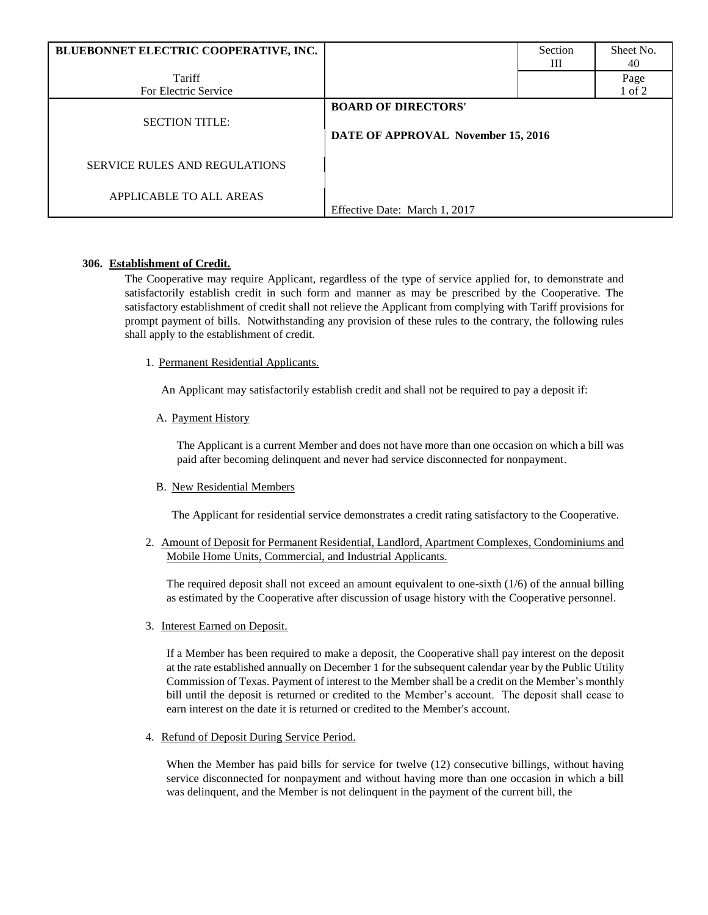| BLUEBONNET ELECTRIC COOPERATIVE, INC. |                                                                  | Section<br>Ш | Sheet No.<br>40 |
|---------------------------------------|------------------------------------------------------------------|--------------|-----------------|
| Tariff                                |                                                                  |              | Page            |
| For Electric Service                  |                                                                  |              | 1 of 2          |
| <b>SECTION TITLE:</b>                 | <b>BOARD OF DIRECTORS'</b><br>DATE OF APPROVAL November 15, 2016 |              |                 |
| <b>SERVICE RULES AND REGULATIONS</b>  |                                                                  |              |                 |
| APPLICABLE TO ALL AREAS               | Effective Date: March 1, 2017                                    |              |                 |

## **306. Establishment of Credit.**

The Cooperative may require Applicant, regardless of the type of service applied for, to demonstrate and satisfactorily establish credit in such form and manner as may be prescribed by the Cooperative. The satisfactory establishment of credit shall not relieve the Applicant from complying with Tariff provisions for prompt payment of bills. Notwithstanding any provision of these rules to the contrary, the following rules shall apply to the establishment of credit.

1. Permanent Residential Applicants.

An Applicant may satisfactorily establish credit and shall not be required to pay a deposit if:

A. Payment History

The Applicant is a current Member and does not have more than one occasion on which a bill was paid after becoming delinquent and never had service disconnected for nonpayment.

B. New Residential Members

The Applicant for residential service demonstrates a credit rating satisfactory to the Cooperative.

2. Amount of Deposit for Permanent Residential, Landlord, Apartment Complexes, Condominiums and Mobile Home Units, Commercial, and Industrial Applicants.

The required deposit shall not exceed an amount equivalent to one-sixth (1/6) of the annual billing as estimated by the Cooperative after discussion of usage history with the Cooperative personnel.

3. Interest Earned on Deposit.

If a Member has been required to make a deposit, the Cooperative shall pay interest on the deposit at the rate established annually on December 1 for the subsequent calendar year by the Public Utility Commission of Texas. Payment of interest to the Member shall be a credit on the Member's monthly bill until the deposit is returned or credited to the Member's account. The deposit shall cease to earn interest on the date it is returned or credited to the Member's account.

4. Refund of Deposit During Service Period.

When the Member has paid bills for service for twelve (12) consecutive billings, without having service disconnected for nonpayment and without having more than one occasion in which a bill was delinquent, and the Member is not delinquent in the payment of the current bill, the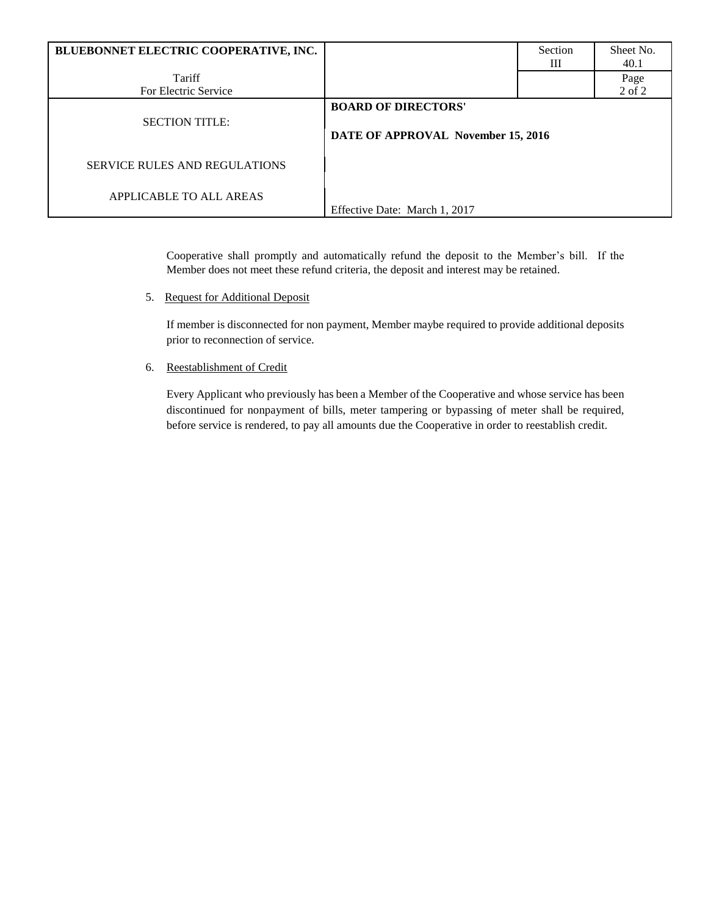| BLUEBONNET ELECTRIC COOPERATIVE, INC. |                                                                  | Section<br>Ш | Sheet No.<br>40.1 |
|---------------------------------------|------------------------------------------------------------------|--------------|-------------------|
| Tariff                                |                                                                  |              | Page              |
| For Electric Service                  |                                                                  |              | 2 of 2            |
| <b>SECTION TITLE:</b>                 | <b>BOARD OF DIRECTORS'</b><br>DATE OF APPROVAL November 15, 2016 |              |                   |
| <b>SERVICE RULES AND REGULATIONS</b>  |                                                                  |              |                   |
| APPLICABLE TO ALL AREAS               | Effective Date: March 1, 2017                                    |              |                   |

Cooperative shall promptly and automatically refund the deposit to the Member's bill. If the Member does not meet these refund criteria, the deposit and interest may be retained.

5. Request for Additional Deposit

If member is disconnected for non payment, Member maybe required to provide additional deposits prior to reconnection of service.

6. Reestablishment of Credit

Every Applicant who previously has been a Member of the Cooperative and whose service has been discontinued for nonpayment of bills, meter tampering or bypassing of meter shall be required, before service is rendered, to pay all amounts due the Cooperative in order to reestablish credit.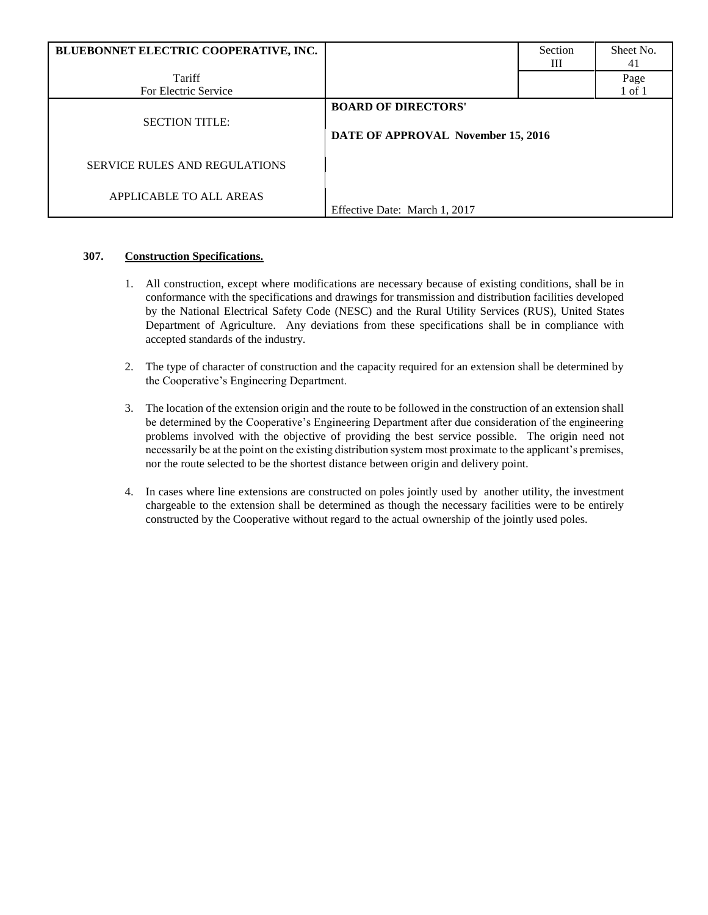| BLUEBONNET ELECTRIC COOPERATIVE, INC. |                                                                  | Section<br>Ш | Sheet No.<br>41 |
|---------------------------------------|------------------------------------------------------------------|--------------|-----------------|
| Tariff<br>For Electric Service        |                                                                  |              | Page<br>1 of 1  |
| <b>SECTION TITLE:</b>                 | <b>BOARD OF DIRECTORS'</b><br>DATE OF APPROVAL November 15, 2016 |              |                 |
| <b>SERVICE RULES AND REGULATIONS</b>  |                                                                  |              |                 |
| APPLICABLE TO ALL AREAS               | Effective Date: March 1, 2017                                    |              |                 |

## **307. Construction Specifications.**

- 1. All construction, except where modifications are necessary because of existing conditions, shall be in conformance with the specifications and drawings for transmission and distribution facilities developed by the National Electrical Safety Code (NESC) and the Rural Utility Services (RUS), United States Department of Agriculture. Any deviations from these specifications shall be in compliance with accepted standards of the industry.
- 2. The type of character of construction and the capacity required for an extension shall be determined by the Cooperative's Engineering Department.
- 3. The location of the extension origin and the route to be followed in the construction of an extension shall be determined by the Cooperative's Engineering Department after due consideration of the engineering problems involved with the objective of providing the best service possible. The origin need not necessarily be at the point on the existing distribution system most proximate to the applicant's premises, nor the route selected to be the shortest distance between origin and delivery point.
- 4. In cases where line extensions are constructed on poles jointly used by another utility, the investment chargeable to the extension shall be determined as though the necessary facilities were to be entirely constructed by the Cooperative without regard to the actual ownership of the jointly used poles.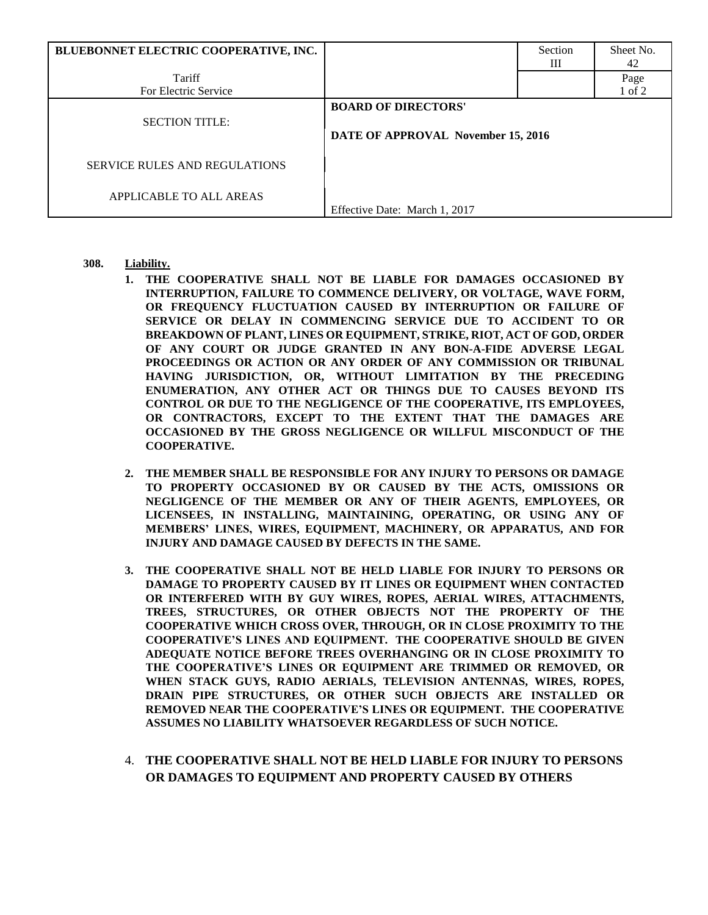| BLUEBONNET ELECTRIC COOPERATIVE, INC. |                                                                  | Section<br>Ш | Sheet No.<br>42 |
|---------------------------------------|------------------------------------------------------------------|--------------|-----------------|
| Tariff                                |                                                                  |              | Page            |
| For Electric Service                  |                                                                  |              | 1 of 2          |
| <b>SECTION TITLE:</b>                 | <b>BOARD OF DIRECTORS'</b><br>DATE OF APPROVAL November 15, 2016 |              |                 |
| <b>SERVICE RULES AND REGULATIONS</b>  |                                                                  |              |                 |
| APPLICABLE TO ALL AREAS               | Effective Date: March 1, 2017                                    |              |                 |

- **308. Liability.**
	- **1. THE COOPERATIVE SHALL NOT BE LIABLE FOR DAMAGES OCCASIONED BY INTERRUPTION, FAILURE TO COMMENCE DELIVERY, OR VOLTAGE, WAVE FORM, OR FREQUENCY FLUCTUATION CAUSED BY INTERRUPTION OR FAILURE OF SERVICE OR DELAY IN COMMENCING SERVICE DUE TO ACCIDENT TO OR BREAKDOWN OF PLANT, LINES OR EQUIPMENT, STRIKE, RIOT, ACT OF GOD, ORDER OF ANY COURT OR JUDGE GRANTED IN ANY BON-A-FIDE ADVERSE LEGAL PROCEEDINGS OR ACTION OR ANY ORDER OF ANY COMMISSION OR TRIBUNAL HAVING JURISDICTION, OR, WITHOUT LIMITATION BY THE PRECEDING ENUMERATION, ANY OTHER ACT OR THINGS DUE TO CAUSES BEYOND ITS CONTROL OR DUE TO THE NEGLIGENCE OF THE COOPERATIVE, ITS EMPLOYEES, OR CONTRACTORS, EXCEPT TO THE EXTENT THAT THE DAMAGES ARE OCCASIONED BY THE GROSS NEGLIGENCE OR WILLFUL MISCONDUCT OF THE COOPERATIVE.**
	- **2. THE MEMBER SHALL BE RESPONSIBLE FOR ANY INJURY TO PERSONS OR DAMAGE TO PROPERTY OCCASIONED BY OR CAUSED BY THE ACTS, OMISSIONS OR NEGLIGENCE OF THE MEMBER OR ANY OF THEIR AGENTS, EMPLOYEES, OR LICENSEES, IN INSTALLING, MAINTAINING, OPERATING, OR USING ANY OF MEMBERS' LINES, WIRES, EQUIPMENT, MACHINERY, OR APPARATUS, AND FOR INJURY AND DAMAGE CAUSED BY DEFECTS IN THE SAME.**
	- **3. THE COOPERATIVE SHALL NOT BE HELD LIABLE FOR INJURY TO PERSONS OR DAMAGE TO PROPERTY CAUSED BY IT LINES OR EQUIPMENT WHEN CONTACTED OR INTERFERED WITH BY GUY WIRES, ROPES, AERIAL WIRES, ATTACHMENTS, TREES, STRUCTURES, OR OTHER OBJECTS NOT THE PROPERTY OF THE COOPERATIVE WHICH CROSS OVER, THROUGH, OR IN CLOSE PROXIMITY TO THE COOPERATIVE'S LINES AND EQUIPMENT. THE COOPERATIVE SHOULD BE GIVEN ADEQUATE NOTICE BEFORE TREES OVERHANGING OR IN CLOSE PROXIMITY TO THE COOPERATIVE'S LINES OR EQUIPMENT ARE TRIMMED OR REMOVED, OR WHEN STACK GUYS, RADIO AERIALS, TELEVISION ANTENNAS, WIRES, ROPES, DRAIN PIPE STRUCTURES, OR OTHER SUCH OBJECTS ARE INSTALLED OR REMOVED NEAR THE COOPERATIVE'S LINES OR EQUIPMENT. THE COOPERATIVE ASSUMES NO LIABILITY WHATSOEVER REGARDLESS OF SUCH NOTICE.**
	- 4. **THE COOPERATIVE SHALL NOT BE HELD LIABLE FOR INJURY TO PERSONS OR DAMAGES TO EQUIPMENT AND PROPERTY CAUSED BY OTHERS**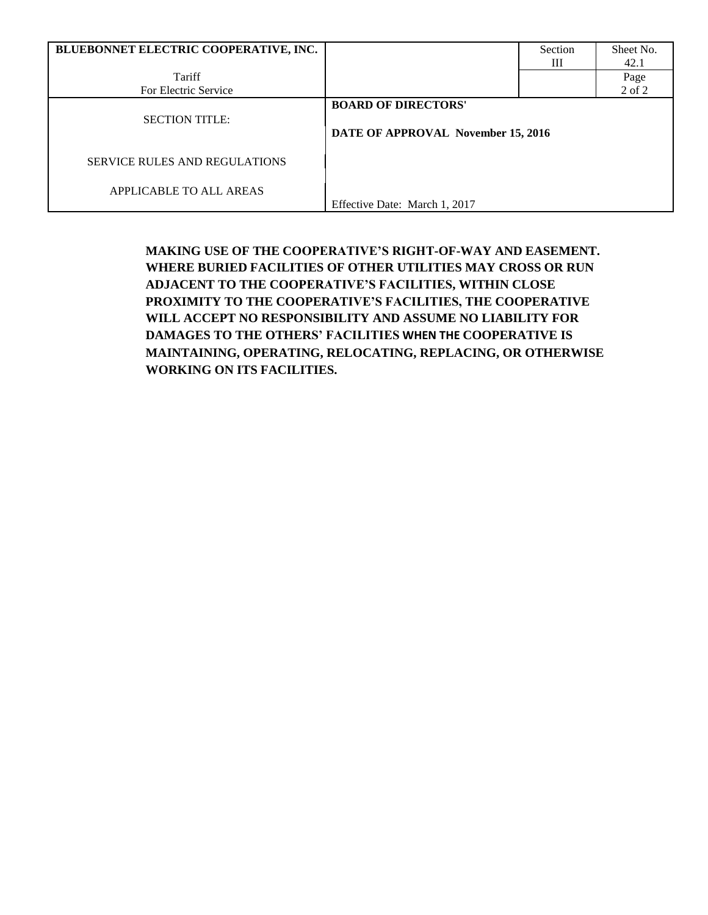| BLUEBONNET ELECTRIC COOPERATIVE, INC. |                                    | Section | Sheet No.  |
|---------------------------------------|------------------------------------|---------|------------|
|                                       |                                    | Ш       | 42.1       |
| Tariff                                |                                    |         | Page       |
| For Electric Service                  |                                    |         | $2$ of $2$ |
|                                       | <b>BOARD OF DIRECTORS'</b>         |         |            |
| <b>SECTION TITLE:</b>                 |                                    |         |            |
|                                       | DATE OF APPROVAL November 15, 2016 |         |            |
| <b>SERVICE RULES AND REGULATIONS</b>  |                                    |         |            |
| APPLICABLE TO ALL AREAS               |                                    |         |            |
|                                       | Effective Date: March 1, 2017      |         |            |

**MAKING USE OF THE COOPERATIVE'S RIGHT-OF-WAY AND EASEMENT. WHERE BURIED FACILITIES OF OTHER UTILITIES MAY CROSS OR RUN ADJACENT TO THE COOPERATIVE'S FACILITIES, WITHIN CLOSE PROXIMITY TO THE COOPERATIVE'S FACILITIES, THE COOPERATIVE WILL ACCEPT NO RESPONSIBILITY AND ASSUME NO LIABILITY FOR DAMAGES TO THE OTHERS' FACILITIES WHEN THE COOPERATIVE IS MAINTAINING, OPERATING, RELOCATING, REPLACING, OR OTHERWISE WORKING ON ITS FACILITIES.**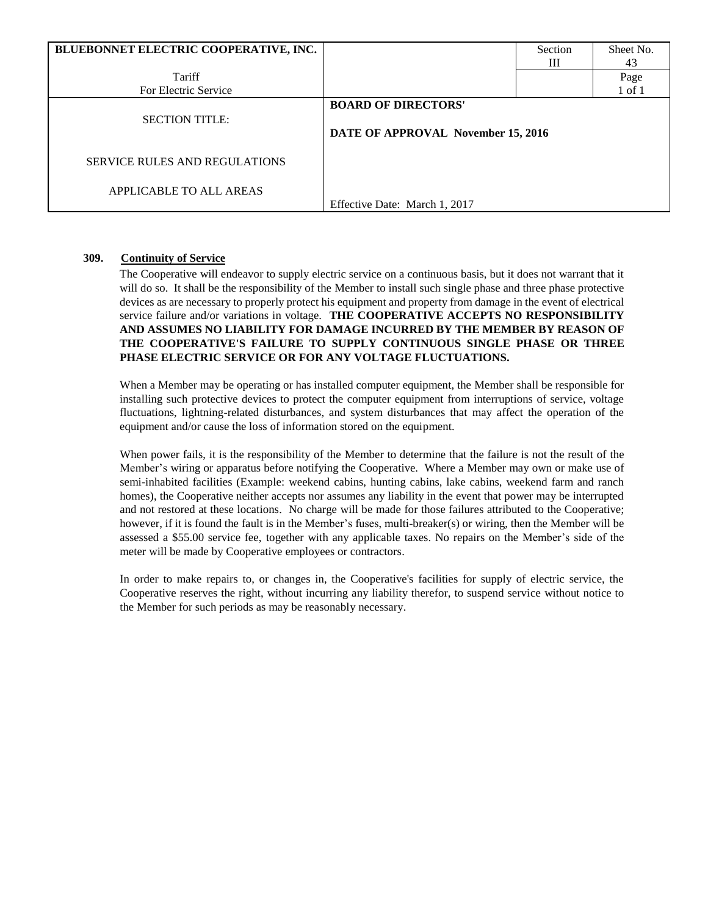| BLUEBONNET ELECTRIC COOPERATIVE, INC. |                                                                  | Section | Sheet No.  |
|---------------------------------------|------------------------------------------------------------------|---------|------------|
|                                       |                                                                  | Ш       | 43         |
| Tariff                                |                                                                  |         | Page       |
| For Electric Service                  |                                                                  |         | $1$ of $1$ |
| <b>SECTION TITLE:</b>                 | <b>BOARD OF DIRECTORS'</b><br>DATE OF APPROVAL November 15, 2016 |         |            |
| SERVICE RULES AND REGULATIONS         |                                                                  |         |            |
| APPLICABLE TO ALL AREAS               | Effective Date: March 1, 2017                                    |         |            |

#### **309. Continuity of Service**

The Cooperative will endeavor to supply electric service on a continuous basis, but it does not warrant that it will do so. It shall be the responsibility of the Member to install such single phase and three phase protective devices as are necessary to properly protect his equipment and property from damage in the event of electrical service failure and/or variations in voltage. **THE COOPERATIVE ACCEPTS NO RESPONSIBILITY AND ASSUMES NO LIABILITY FOR DAMAGE INCURRED BY THE MEMBER BY REASON OF THE COOPERATIVE'S FAILURE TO SUPPLY CONTINUOUS SINGLE PHASE OR THREE PHASE ELECTRIC SERVICE OR FOR ANY VOLTAGE FLUCTUATIONS.** 

When a Member may be operating or has installed computer equipment, the Member shall be responsible for installing such protective devices to protect the computer equipment from interruptions of service, voltage fluctuations, lightning-related disturbances, and system disturbances that may affect the operation of the equipment and/or cause the loss of information stored on the equipment.

When power fails, it is the responsibility of the Member to determine that the failure is not the result of the Member's wiring or apparatus before notifying the Cooperative. Where a Member may own or make use of semi-inhabited facilities (Example: weekend cabins, hunting cabins, lake cabins, weekend farm and ranch homes), the Cooperative neither accepts nor assumes any liability in the event that power may be interrupted and not restored at these locations. No charge will be made for those failures attributed to the Cooperative; however, if it is found the fault is in the Member's fuses, multi-breaker(s) or wiring, then the Member will be assessed a \$55.00 service fee, together with any applicable taxes. No repairs on the Member's side of the meter will be made by Cooperative employees or contractors.

In order to make repairs to, or changes in, the Cooperative's facilities for supply of electric service, the Cooperative reserves the right, without incurring any liability therefor, to suspend service without notice to the Member for such periods as may be reasonably necessary.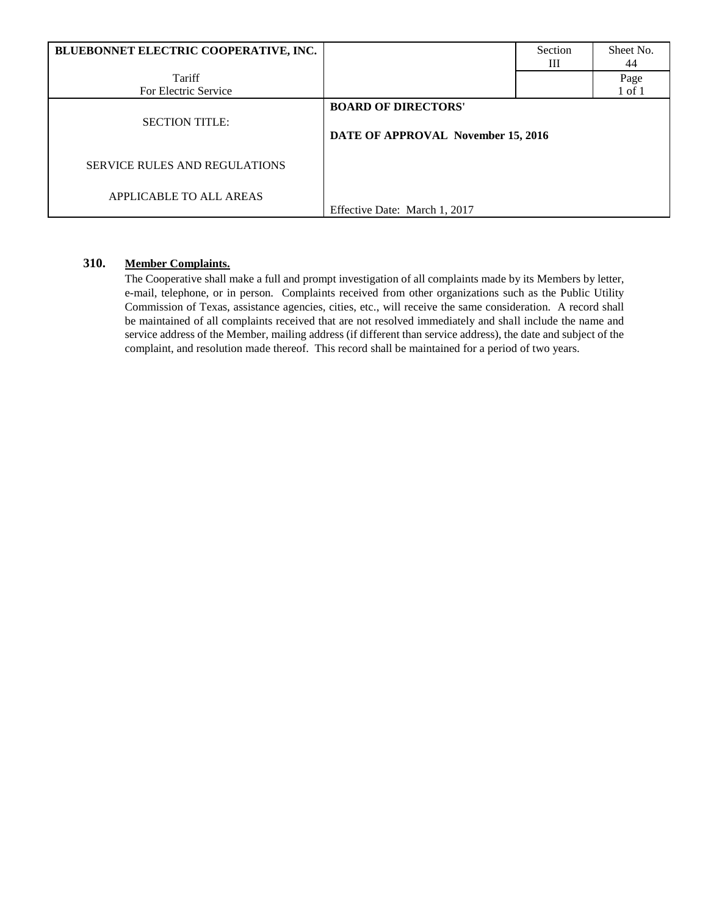| BLUEBONNET ELECTRIC COOPERATIVE, INC. |                                                                  | Section<br>Ш | Sheet No.<br>44    |
|---------------------------------------|------------------------------------------------------------------|--------------|--------------------|
| Tariff<br>For Electric Service        |                                                                  |              | Page<br>$1$ of $1$ |
| <b>SECTION TITLE:</b>                 | <b>BOARD OF DIRECTORS'</b><br>DATE OF APPROVAL November 15, 2016 |              |                    |
| <b>SERVICE RULES AND REGULATIONS</b>  |                                                                  |              |                    |
| APPLICABLE TO ALL AREAS               | Effective Date: March 1, 2017                                    |              |                    |

# **310. Member Complaints.**

The Cooperative shall make a full and prompt investigation of all complaints made by its Members by letter, e-mail, telephone, or in person. Complaints received from other organizations such as the Public Utility Commission of Texas, assistance agencies, cities, etc., will receive the same consideration. A record shall be maintained of all complaints received that are not resolved immediately and shall include the name and service address of the Member, mailing address (if different than service address), the date and subject of the complaint, and resolution made thereof. This record shall be maintained for a period of two years.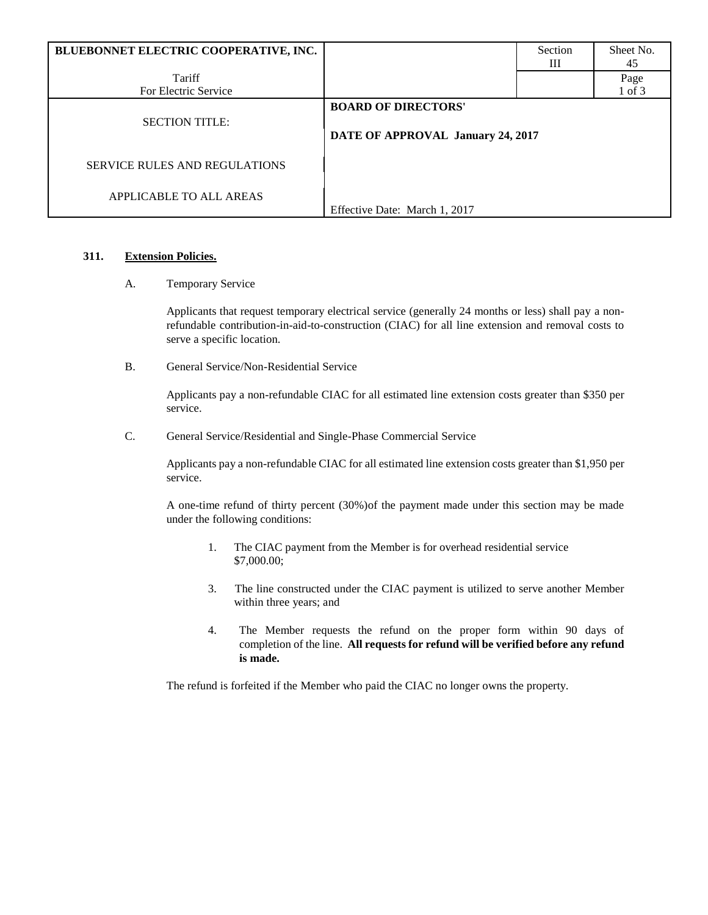| BLUEBONNET ELECTRIC COOPERATIVE, INC. |                                                                 | Section | Sheet No. |
|---------------------------------------|-----------------------------------------------------------------|---------|-----------|
|                                       |                                                                 | Ш       | 45        |
| Tariff                                |                                                                 |         | Page      |
| For Electric Service                  |                                                                 |         | 1 of 3    |
| <b>SECTION TITLE:</b>                 | <b>BOARD OF DIRECTORS'</b><br>DATE OF APPROVAL January 24, 2017 |         |           |
| <b>SERVICE RULES AND REGULATIONS</b>  |                                                                 |         |           |
| APPLICABLE TO ALL AREAS               | Effective Date: March 1, 2017                                   |         |           |

## **311. Extension Policies.**

#### A. Temporary Service

Applicants that request temporary electrical service (generally 24 months or less) shall pay a nonrefundable contribution-in-aid-to-construction (CIAC) for all line extension and removal costs to serve a specific location.

B. General Service/Non-Residential Service

Applicants pay a non-refundable CIAC for all estimated line extension costs greater than \$350 per service.

C. General Service/Residential and Single-Phase Commercial Service

Applicants pay a non-refundable CIAC for all estimated line extension costs greater than \$1,950 per service.

A one-time refund of thirty percent (30%)of the payment made under this section may be made under the following conditions:

- 1. The CIAC payment from the Member is for overhead residential service \$7,000.00;
- 3. The line constructed under the CIAC payment is utilized to serve another Member within three years; and
- 4. The Member requests the refund on the proper form within 90 days of completion of the line. **All requests for refund will be verified before any refund is made.**

The refund is forfeited if the Member who paid the CIAC no longer owns the property.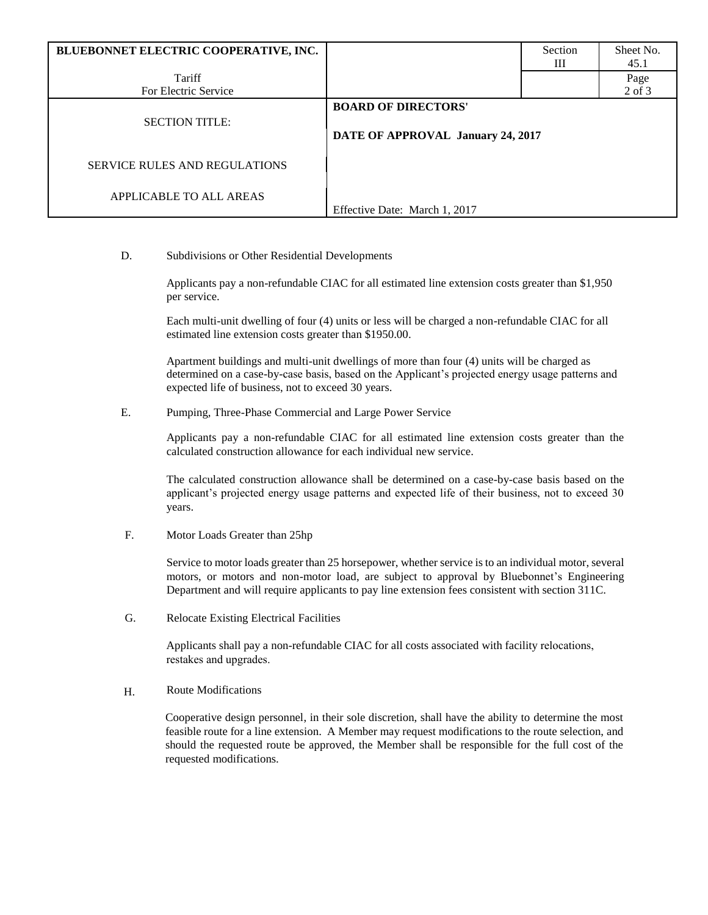| BLUEBONNET ELECTRIC COOPERATIVE, INC. |                                   | Section | Sheet No.  |
|---------------------------------------|-----------------------------------|---------|------------|
|                                       |                                   | Ш       | 45.1       |
| Tariff                                |                                   |         | Page       |
| For Electric Service                  |                                   |         | $2$ of $3$ |
|                                       | <b>BOARD OF DIRECTORS'</b>        |         |            |
| <b>SECTION TITLE:</b>                 |                                   |         |            |
|                                       | DATE OF APPROVAL January 24, 2017 |         |            |
|                                       |                                   |         |            |
| SERVICE RULES AND REGULATIONS         |                                   |         |            |
|                                       |                                   |         |            |
| APPLICABLE TO ALL AREAS               |                                   |         |            |
|                                       | Effective Date: March 1, 2017     |         |            |
|                                       |                                   |         |            |

#### D. Subdivisions or Other Residential Developments

Applicants pay a non-refundable CIAC for all estimated line extension costs greater than \$1,950 per service.

Each multi-unit dwelling of four (4) units or less will be charged a non-refundable CIAC for all estimated line extension costs greater than \$1950.00.

Apartment buildings and multi-unit dwellings of more than four (4) units will be charged as determined on a case-by-case basis, based on the Applicant's projected energy usage patterns and expected life of business, not to exceed 30 years.

E. Pumping, Three-Phase Commercial and Large Power Service

Applicants pay a non-refundable CIAC for all estimated line extension costs greater than the calculated construction allowance for each individual new service.

The calculated construction allowance shall be determined on a case-by-case basis based on the applicant's projected energy usage patterns and expected life of their business, not to exceed 30 years.

F. Motor Loads Greater than 25hp

Service to motor loads greater than 25 horsepower, whether service is to an individual motor, several motors, or motors and non-motor load, are subject to approval by Bluebonnet's Engineering Department and will require applicants to pay line extension fees consistent with section 311C.

G. Relocate Existing Electrical Facilities

Applicants shall pay a non-refundable CIAC for all costs associated with facility relocations, restakes and upgrades.

H. Route Modifications

Cooperative design personnel, in their sole discretion, shall have the ability to determine the most feasible route for a line extension. A Member may request modifications to the route selection, and should the requested route be approved, the Member shall be responsible for the full cost of the requested modifications.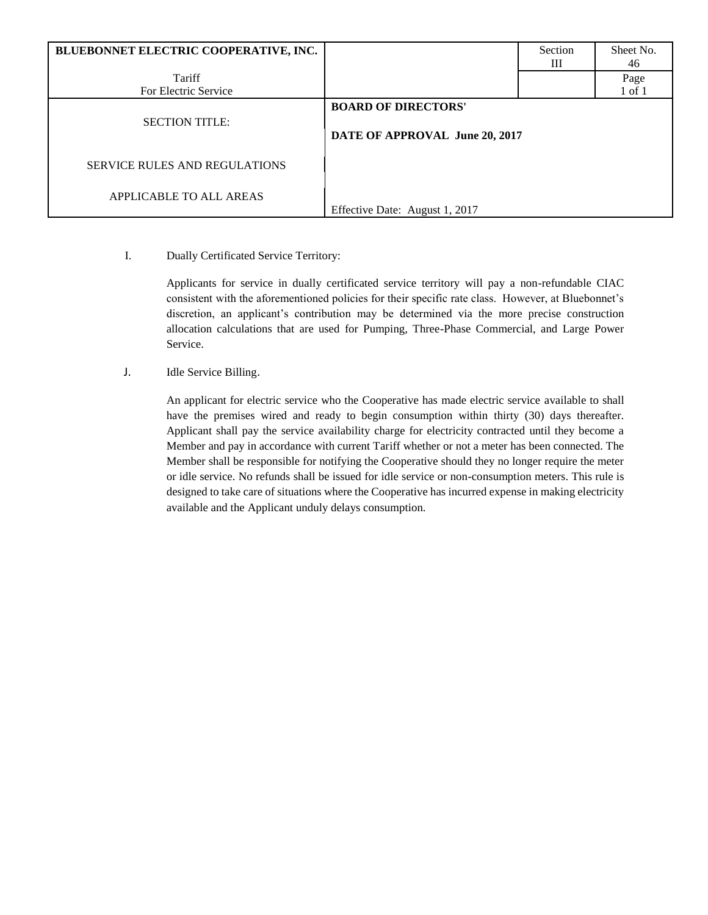| BLUEBONNET ELECTRIC COOPERATIVE, INC. |                                                              | Section<br>Ш | Sheet No.<br>46    |
|---------------------------------------|--------------------------------------------------------------|--------------|--------------------|
| Tariff<br>For Electric Service        |                                                              |              | Page<br>$1$ of $1$ |
| <b>SECTION TITLE:</b>                 | <b>BOARD OF DIRECTORS'</b><br>DATE OF APPROVAL June 20, 2017 |              |                    |
| <b>SERVICE RULES AND REGULATIONS</b>  |                                                              |              |                    |
| APPLICABLE TO ALL AREAS               | Effective Date: August 1, 2017                               |              |                    |

I. Dually Certificated Service Territory:

Applicants for service in dually certificated service territory will pay a non-refundable CIAC consistent with the aforementioned policies for their specific rate class. However, at Bluebonnet's discretion, an applicant's contribution may be determined via the more precise construction allocation calculations that are used for Pumping, Three-Phase Commercial, and Large Power Service.

J. Idle Service Billing.

An applicant for electric service who the Cooperative has made electric service available to shall have the premises wired and ready to begin consumption within thirty (30) days thereafter. Applicant shall pay the service availability charge for electricity contracted until they become a Member and pay in accordance with current Tariff whether or not a meter has been connected. The Member shall be responsible for notifying the Cooperative should they no longer require the meter or idle service. No refunds shall be issued for idle service or non-consumption meters. This rule is designed to take care of situations where the Cooperative has incurred expense in making electricity available and the Applicant unduly delays consumption.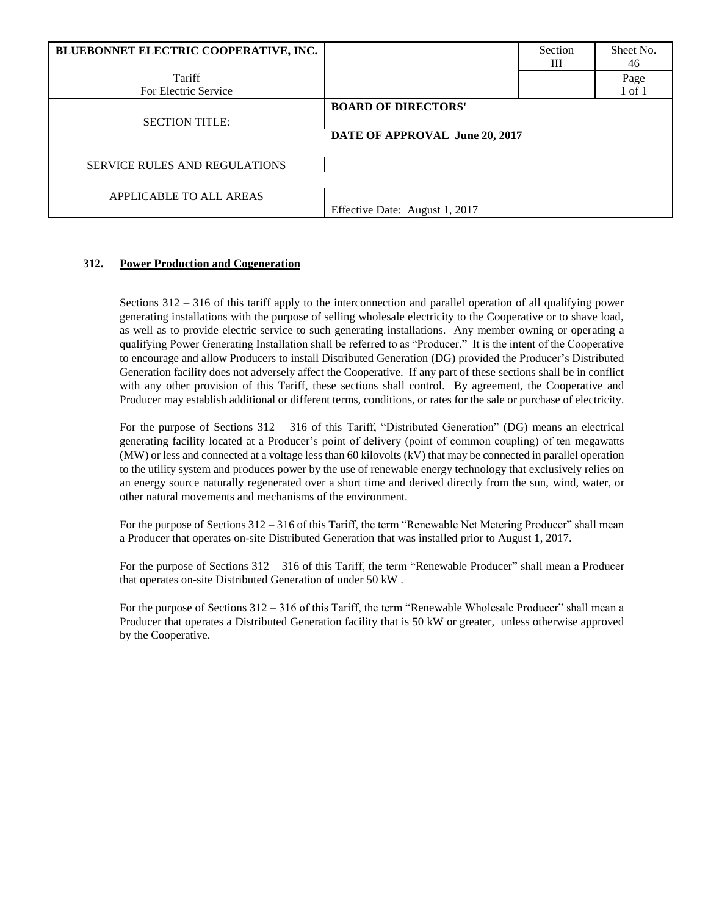| BLUEBONNET ELECTRIC COOPERATIVE, INC. |                                                              | Section<br>Ш | Sheet No.<br>46    |
|---------------------------------------|--------------------------------------------------------------|--------------|--------------------|
| Tariff<br>For Electric Service        |                                                              |              | Page<br>$1$ of $1$ |
| <b>SECTION TITLE:</b>                 | <b>BOARD OF DIRECTORS'</b><br>DATE OF APPROVAL June 20, 2017 |              |                    |
| <b>SERVICE RULES AND REGULATIONS</b>  |                                                              |              |                    |
| APPLICABLE TO ALL AREAS               | Effective Date: August 1, 2017                               |              |                    |

# **312. Power Production and Cogeneration**

Sections 312 – 316 of this tariff apply to the interconnection and parallel operation of all qualifying power generating installations with the purpose of selling wholesale electricity to the Cooperative or to shave load, as well as to provide electric service to such generating installations. Any member owning or operating a qualifying Power Generating Installation shall be referred to as "Producer." It is the intent of the Cooperative to encourage and allow Producers to install Distributed Generation (DG) provided the Producer's Distributed Generation facility does not adversely affect the Cooperative. If any part of these sections shall be in conflict with any other provision of this Tariff, these sections shall control. By agreement, the Cooperative and Producer may establish additional or different terms, conditions, or rates for the sale or purchase of electricity.

For the purpose of Sections 312 – 316 of this Tariff, "Distributed Generation" (DG) means an electrical generating facility located at a Producer's point of delivery (point of common coupling) of ten megawatts (MW) or less and connected at a voltage less than 60 kilovolts (kV) that may be connected in parallel operation to the utility system and produces power by the use of renewable energy technology that exclusively relies on an energy source naturally regenerated over a short time and derived directly from the sun, wind, water, or other natural movements and mechanisms of the environment.

For the purpose of Sections 312 – 316 of this Tariff, the term "Renewable Net Metering Producer" shall mean a Producer that operates on-site Distributed Generation that was installed prior to August 1, 2017.

For the purpose of Sections 312 – 316 of this Tariff, the term "Renewable Producer" shall mean a Producer that operates on-site Distributed Generation of under 50 kW .

For the purpose of Sections 312 – 316 of this Tariff, the term "Renewable Wholesale Producer" shall mean a Producer that operates a Distributed Generation facility that is 50 kW or greater, unless otherwise approved by the Cooperative.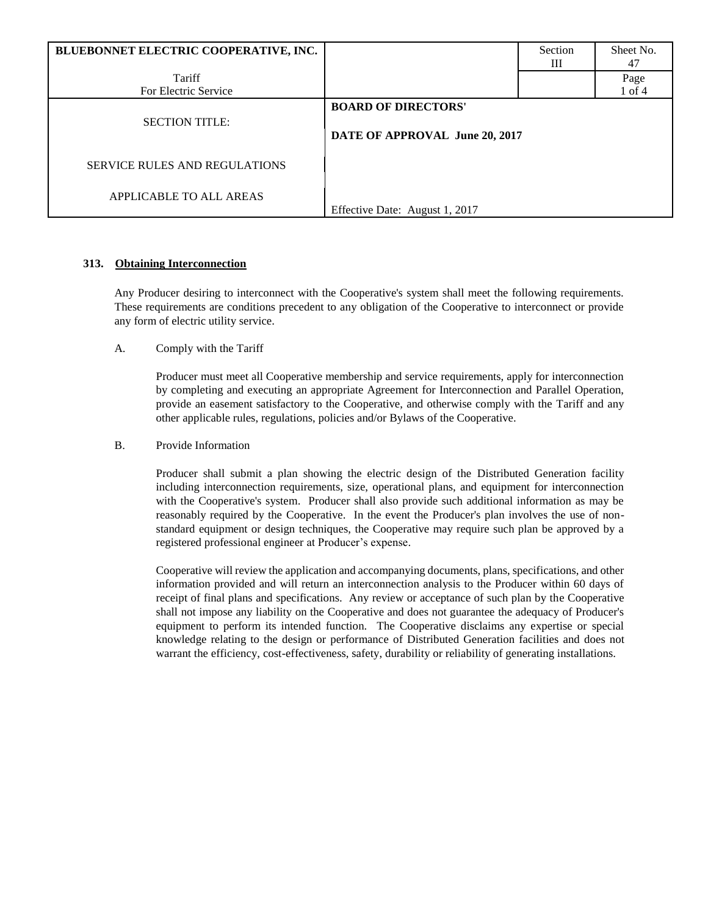| BLUEBONNET ELECTRIC COOPERATIVE, INC. |                                                              | Section<br>Ш | Sheet No.<br>47 |
|---------------------------------------|--------------------------------------------------------------|--------------|-----------------|
| Tariff                                |                                                              |              | Page            |
| For Electric Service                  |                                                              |              | 1 of 4          |
| <b>SECTION TITLE:</b>                 | <b>BOARD OF DIRECTORS'</b><br>DATE OF APPROVAL June 20, 2017 |              |                 |
| <b>SERVICE RULES AND REGULATIONS</b>  |                                                              |              |                 |
| APPLICABLE TO ALL AREAS               | Effective Date: August 1, 2017                               |              |                 |

## **313. Obtaining Interconnection**

Any Producer desiring to interconnect with the Cooperative's system shall meet the following requirements. These requirements are conditions precedent to any obligation of the Cooperative to interconnect or provide any form of electric utility service.

A. Comply with the Tariff

Producer must meet all Cooperative membership and service requirements, apply for interconnection by completing and executing an appropriate Agreement for Interconnection and Parallel Operation, provide an easement satisfactory to the Cooperative, and otherwise comply with the Tariff and any other applicable rules, regulations, policies and/or Bylaws of the Cooperative.

## B. Provide Information

Producer shall submit a plan showing the electric design of the Distributed Generation facility including interconnection requirements, size, operational plans, and equipment for interconnection with the Cooperative's system. Producer shall also provide such additional information as may be reasonably required by the Cooperative. In the event the Producer's plan involves the use of nonstandard equipment or design techniques, the Cooperative may require such plan be approved by a registered professional engineer at Producer's expense.

Cooperative will review the application and accompanying documents, plans, specifications, and other information provided and will return an interconnection analysis to the Producer within 60 days of receipt of final plans and specifications. Any review or acceptance of such plan by the Cooperative shall not impose any liability on the Cooperative and does not guarantee the adequacy of Producer's equipment to perform its intended function. The Cooperative disclaims any expertise or special knowledge relating to the design or performance of Distributed Generation facilities and does not warrant the efficiency, cost-effectiveness, safety, durability or reliability of generating installations.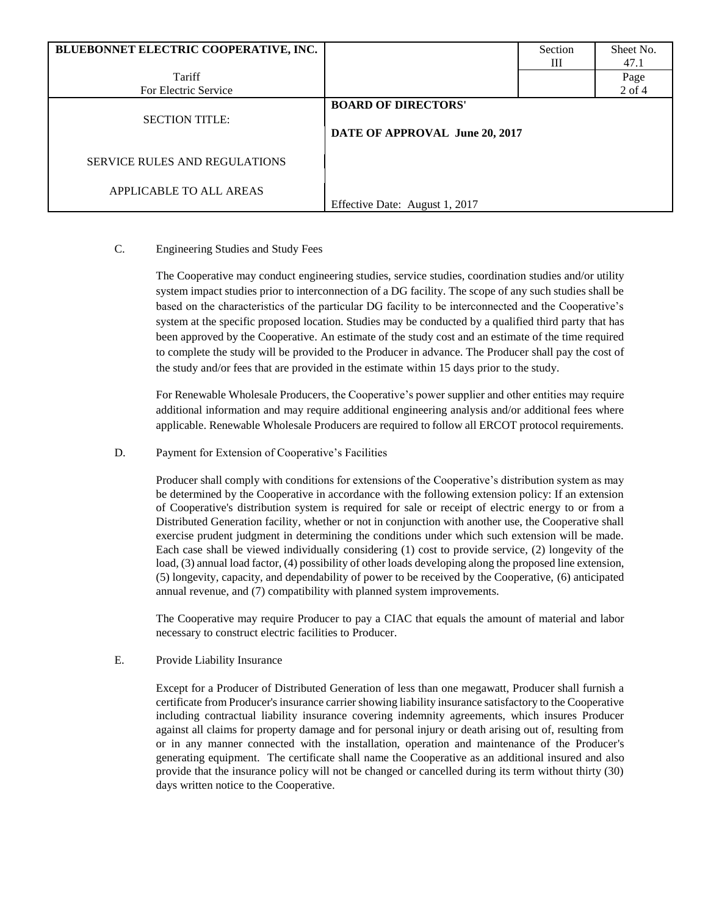| BLUEBONNET ELECTRIC COOPERATIVE, INC.                           |                                                              | Section | Sheet No.  |
|-----------------------------------------------------------------|--------------------------------------------------------------|---------|------------|
|                                                                 |                                                              | Ш       | 47.1       |
| Tariff                                                          |                                                              |         | Page       |
| For Electric Service                                            |                                                              |         | $2$ of $4$ |
| <b>SECTION TITLE:</b>                                           | <b>BOARD OF DIRECTORS'</b><br>DATE OF APPROVAL June 20, 2017 |         |            |
| <b>SERVICE RULES AND REGULATIONS</b><br>APPLICABLE TO ALL AREAS | Effective Date: August 1, 2017                               |         |            |

# C. Engineering Studies and Study Fees

The Cooperative may conduct engineering studies, service studies, coordination studies and/or utility system impact studies prior to interconnection of a DG facility. The scope of any such studies shall be based on the characteristics of the particular DG facility to be interconnected and the Cooperative's system at the specific proposed location. Studies may be conducted by a qualified third party that has been approved by the Cooperative. An estimate of the study cost and an estimate of the time required to complete the study will be provided to the Producer in advance. The Producer shall pay the cost of the study and/or fees that are provided in the estimate within 15 days prior to the study.

For Renewable Wholesale Producers, the Cooperative's power supplier and other entities may require additional information and may require additional engineering analysis and/or additional fees where applicable. Renewable Wholesale Producers are required to follow all ERCOT protocol requirements.

#### D. Payment for Extension of Cooperative's Facilities

Producer shall comply with conditions for extensions of the Cooperative's distribution system as may be determined by the Cooperative in accordance with the following extension policy: If an extension of Cooperative's distribution system is required for sale or receipt of electric energy to or from a Distributed Generation facility, whether or not in conjunction with another use, the Cooperative shall exercise prudent judgment in determining the conditions under which such extension will be made. Each case shall be viewed individually considering (1) cost to provide service, (2) longevity of the load, (3) annual load factor, (4) possibility of other loads developing along the proposed line extension, (5) longevity, capacity, and dependability of power to be received by the Cooperative, (6) anticipated annual revenue, and (7) compatibility with planned system improvements.

The Cooperative may require Producer to pay a CIAC that equals the amount of material and labor necessary to construct electric facilities to Producer.

## E. Provide Liability Insurance

Except for a Producer of Distributed Generation of less than one megawatt, Producer shall furnish a certificate from Producer's insurance carrier showing liability insurance satisfactory to the Cooperative including contractual liability insurance covering indemnity agreements, which insures Producer against all claims for property damage and for personal injury or death arising out of, resulting from or in any manner connected with the installation, operation and maintenance of the Producer's generating equipment. The certificate shall name the Cooperative as an additional insured and also provide that the insurance policy will not be changed or cancelled during its term without thirty (30) days written notice to the Cooperative.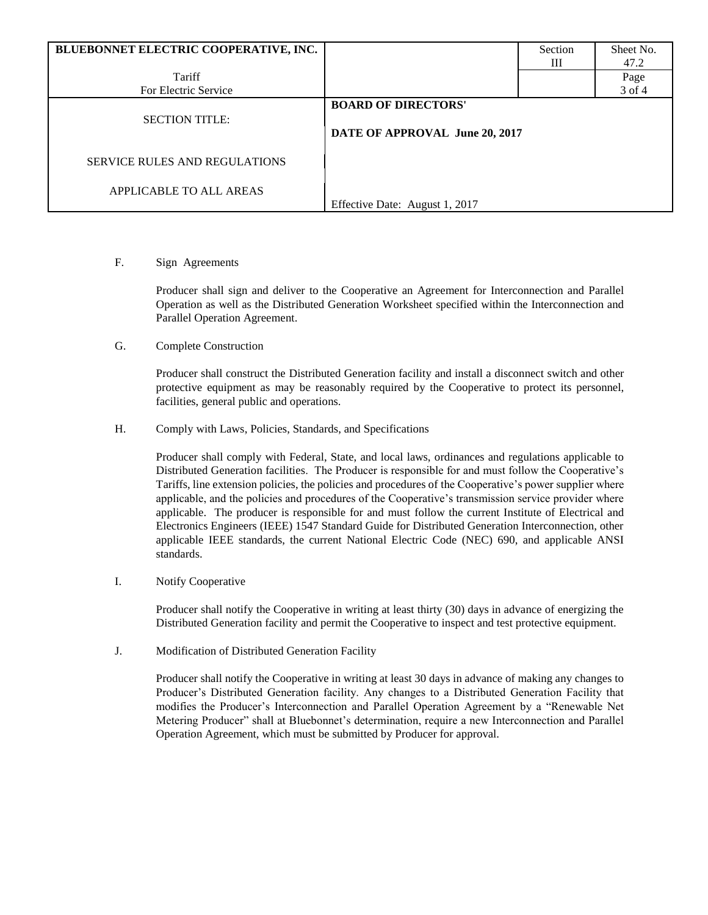| BLUEBONNET ELECTRIC COOPERATIVE, INC. |                                                              | Section | Sheet No. |
|---------------------------------------|--------------------------------------------------------------|---------|-----------|
|                                       |                                                              | Ш       | 47.2      |
| Tariff                                |                                                              |         | Page      |
| For Electric Service                  |                                                              |         | 3 of 4    |
| <b>SECTION TITLE:</b>                 | <b>BOARD OF DIRECTORS'</b><br>DATE OF APPROVAL June 20, 2017 |         |           |
| <b>SERVICE RULES AND REGULATIONS</b>  |                                                              |         |           |
| APPLICABLE TO ALL AREAS               | Effective Date: August 1, 2017                               |         |           |

#### F. Sign Agreements

Producer shall sign and deliver to the Cooperative an Agreement for Interconnection and Parallel Operation as well as the Distributed Generation Worksheet specified within the Interconnection and Parallel Operation Agreement.

G. Complete Construction

Producer shall construct the Distributed Generation facility and install a disconnect switch and other protective equipment as may be reasonably required by the Cooperative to protect its personnel, facilities, general public and operations.

H. Comply with Laws, Policies, Standards, and Specifications

Producer shall comply with Federal, State, and local laws, ordinances and regulations applicable to Distributed Generation facilities. The Producer is responsible for and must follow the Cooperative's Tariffs, line extension policies, the policies and procedures of the Cooperative's power supplier where applicable, and the policies and procedures of the Cooperative's transmission service provider where applicable. The producer is responsible for and must follow the current Institute of Electrical and Electronics Engineers (IEEE) 1547 Standard Guide for Distributed Generation Interconnection, other applicable IEEE standards, the current National Electric Code (NEC) 690, and applicable ANSI standards.

I. Notify Cooperative

Producer shall notify the Cooperative in writing at least thirty (30) days in advance of energizing the Distributed Generation facility and permit the Cooperative to inspect and test protective equipment.

J. Modification of Distributed Generation Facility

Producer shall notify the Cooperative in writing at least 30 days in advance of making any changes to Producer's Distributed Generation facility. Any changes to a Distributed Generation Facility that modifies the Producer's Interconnection and Parallel Operation Agreement by a "Renewable Net Metering Producer" shall at Bluebonnet's determination, require a new Interconnection and Parallel Operation Agreement, which must be submitted by Producer for approval.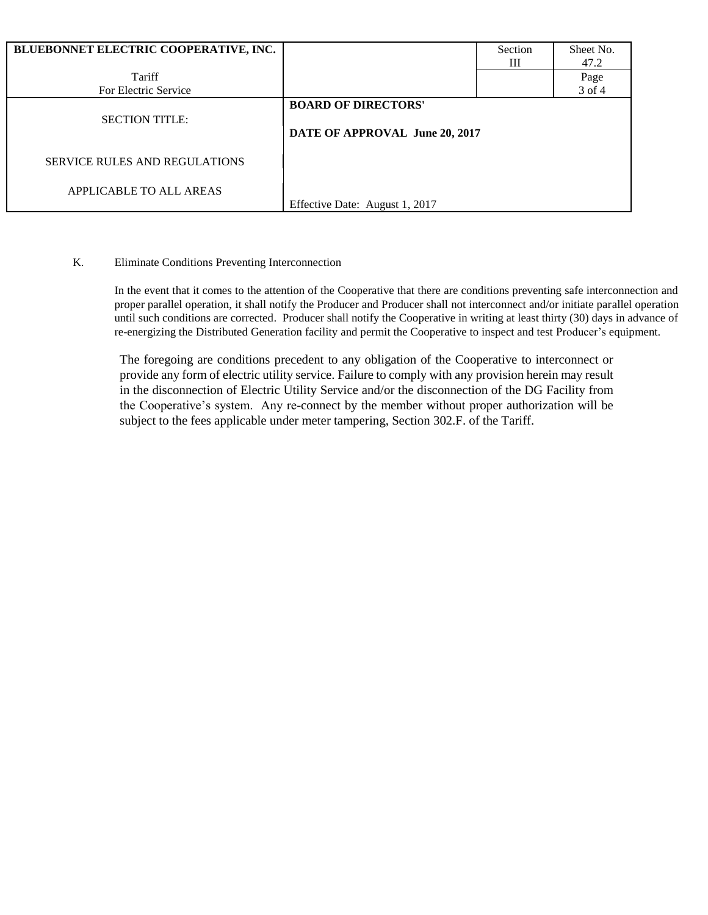| BLUEBONNET ELECTRIC COOPERATIVE, INC. |                                                              | Section<br>Ш | Sheet No.<br>47.2 |
|---------------------------------------|--------------------------------------------------------------|--------------|-------------------|
|                                       |                                                              |              |                   |
| Tariff                                |                                                              |              | Page              |
| For Electric Service                  |                                                              |              | 3 of 4            |
| <b>SECTION TITLE:</b>                 | <b>BOARD OF DIRECTORS'</b><br>DATE OF APPROVAL June 20, 2017 |              |                   |
| <b>SERVICE RULES AND REGULATIONS</b>  |                                                              |              |                   |
| APPLICABLE TO ALL AREAS               | Effective Date: August 1, 2017                               |              |                   |

## K. Eliminate Conditions Preventing Interconnection

In the event that it comes to the attention of the Cooperative that there are conditions preventing safe interconnection and proper parallel operation, it shall notify the Producer and Producer shall not interconnect and/or initiate parallel operation until such conditions are corrected. Producer shall notify the Cooperative in writing at least thirty (30) days in advance of re-energizing the Distributed Generation facility and permit the Cooperative to inspect and test Producer's equipment.

The foregoing are conditions precedent to any obligation of the Cooperative to interconnect or provide any form of electric utility service. Failure to comply with any provision herein may result in the disconnection of Electric Utility Service and/or the disconnection of the DG Facility from the Cooperative's system. Any re-connect by the member without proper authorization will be subject to the fees applicable under meter tampering, Section 302.F. of the Tariff.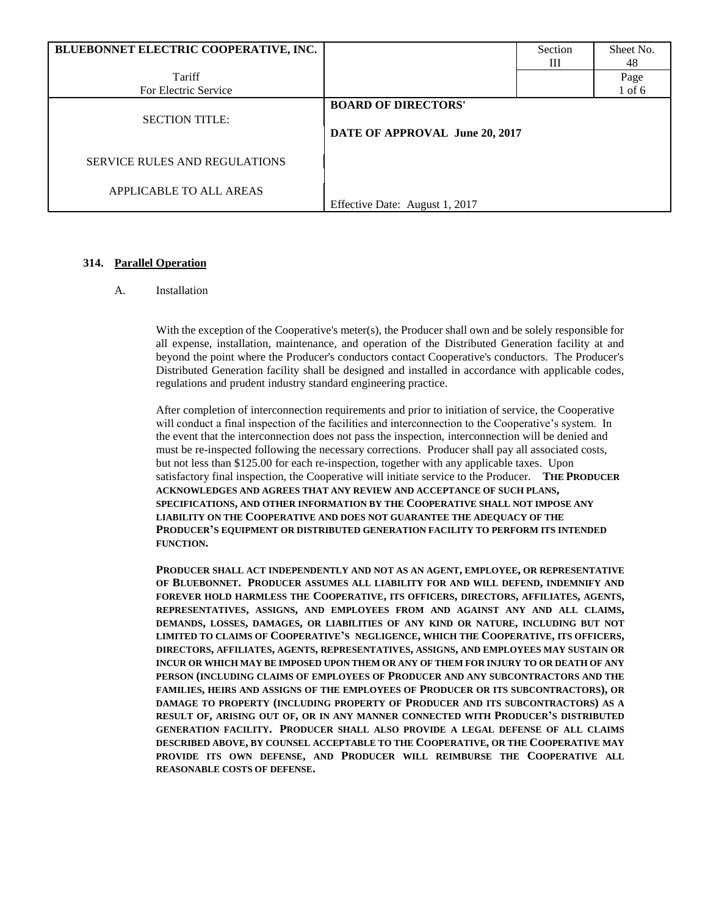| BLUEBONNET ELECTRIC COOPERATIVE, INC. |                                                              | Section | Sheet No.  |
|---------------------------------------|--------------------------------------------------------------|---------|------------|
| Tariff                                |                                                              | Ш       | 48<br>Page |
| For Electric Service                  |                                                              |         | $1$ of $6$ |
| <b>SECTION TITLE:</b>                 | <b>BOARD OF DIRECTORS'</b><br>DATE OF APPROVAL June 20, 2017 |         |            |
| <b>SERVICE RULES AND REGULATIONS</b>  |                                                              |         |            |
| APPLICABLE TO ALL AREAS               | Effective Date: August 1, 2017                               |         |            |

#### **314. Parallel Operation**

#### A. Installation

With the exception of the Cooperative's meter(s), the Producer shall own and be solely responsible for all expense, installation, maintenance, and operation of the Distributed Generation facility at and beyond the point where the Producer's conductors contact Cooperative's conductors. The Producer's Distributed Generation facility shall be designed and installed in accordance with applicable codes, regulations and prudent industry standard engineering practice.

After completion of interconnection requirements and prior to initiation of service, the Cooperative will conduct a final inspection of the facilities and interconnection to the Cooperative's system. In the event that the interconnection does not pass the inspection, interconnection will be denied and must be re-inspected following the necessary corrections. Producer shall pay all associated costs, but not less than \$125.00 for each re-inspection, together with any applicable taxes. Upon satisfactory final inspection, the Cooperative will initiate service to the Producer. **THE PRODUCER ACKNOWLEDGES AND AGREES THAT ANY REVIEW AND ACCEPTANCE OF SUCH PLANS, SPECIFICATIONS, AND OTHER INFORMATION BY THE COOPERATIVE SHALL NOT IMPOSE ANY LIABILITY ON THE COOPERATIVE AND DOES NOT GUARANTEE THE ADEQUACY OF THE PRODUCER'S EQUIPMENT OR DISTRIBUTED GENERATION FACILITY TO PERFORM ITS INTENDED FUNCTION.**

**PRODUCER SHALL ACT INDEPENDENTLY AND NOT AS AN AGENT, EMPLOYEE, OR REPRESENTATIVE OF BLUEBONNET. PRODUCER ASSUMES ALL LIABILITY FOR AND WILL DEFEND, INDEMNIFY AND FOREVER HOLD HARMLESS THE COOPERATIVE, ITS OFFICERS, DIRECTORS, AFFILIATES, AGENTS, REPRESENTATIVES, ASSIGNS, AND EMPLOYEES FROM AND AGAINST ANY AND ALL CLAIMS, DEMANDS, LOSSES, DAMAGES, OR LIABILITIES OF ANY KIND OR NATURE, INCLUDING BUT NOT LIMITED TO CLAIMS OF COOPERATIVE'S NEGLIGENCE, WHICH THE COOPERATIVE, ITS OFFICERS, DIRECTORS, AFFILIATES, AGENTS, REPRESENTATIVES, ASSIGNS, AND EMPLOYEES MAY SUSTAIN OR INCUR OR WHICH MAY BE IMPOSED UPON THEM OR ANY OF THEM FOR INJURY TO OR DEATH OF ANY PERSON (INCLUDING CLAIMS OF EMPLOYEES OF PRODUCER AND ANY SUBCONTRACTORS AND THE FAMILIES, HEIRS AND ASSIGNS OF THE EMPLOYEES OF PRODUCER OR ITS SUBCONTRACTORS), OR DAMAGE TO PROPERTY (INCLUDING PROPERTY OF PRODUCER AND ITS SUBCONTRACTORS) AS A RESULT OF, ARISING OUT OF, OR IN ANY MANNER CONNECTED WITH PRODUCER'S DISTRIBUTED GENERATION FACILITY. PRODUCER SHALL ALSO PROVIDE A LEGAL DEFENSE OF ALL CLAIMS DESCRIBED ABOVE, BY COUNSEL ACCEPTABLE TO THE COOPERATIVE, OR THE COOPERATIVE MAY PROVIDE ITS OWN DEFENSE, AND PRODUCER WILL REIMBURSE THE COOPERATIVE ALL REASONABLE COSTS OF DEFENSE.**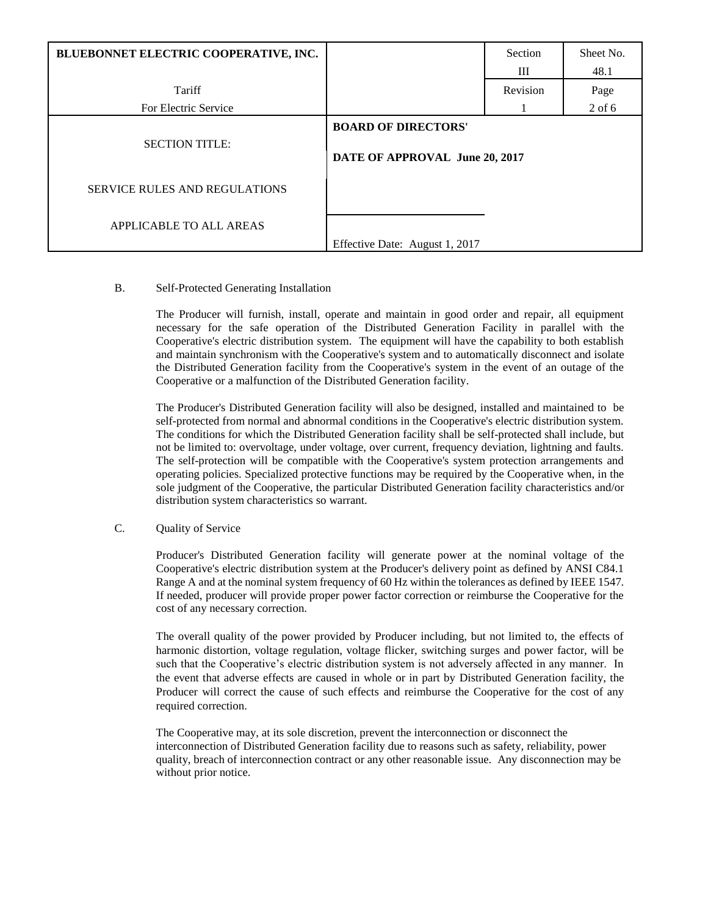| BLUEBONNET ELECTRIC COOPERATIVE, INC. |                                                              | Section  | Sheet No. |
|---------------------------------------|--------------------------------------------------------------|----------|-----------|
|                                       |                                                              | Ш        | 48.1      |
| Tariff                                |                                                              | Revision | Page      |
| For Electric Service                  |                                                              |          | $2$ of 6  |
| <b>SECTION TITLE:</b>                 | <b>BOARD OF DIRECTORS'</b><br>DATE OF APPROVAL June 20, 2017 |          |           |
| <b>SERVICE RULES AND REGULATIONS</b>  |                                                              |          |           |
| APPLICABLE TO ALL AREAS               | Effective Date: August 1, 2017                               |          |           |

#### B. Self-Protected Generating Installation

The Producer will furnish, install, operate and maintain in good order and repair, all equipment necessary for the safe operation of the Distributed Generation Facility in parallel with the Cooperative's electric distribution system. The equipment will have the capability to both establish and maintain synchronism with the Cooperative's system and to automatically disconnect and isolate the Distributed Generation facility from the Cooperative's system in the event of an outage of the Cooperative or a malfunction of the Distributed Generation facility.

The Producer's Distributed Generation facility will also be designed, installed and maintained to be self-protected from normal and abnormal conditions in the Cooperative's electric distribution system. The conditions for which the Distributed Generation facility shall be self-protected shall include, but not be limited to: overvoltage, under voltage, over current, frequency deviation, lightning and faults. The self-protection will be compatible with the Cooperative's system protection arrangements and operating policies. Specialized protective functions may be required by the Cooperative when, in the sole judgment of the Cooperative, the particular Distributed Generation facility characteristics and/or distribution system characteristics so warrant.

## C. Quality of Service

Producer's Distributed Generation facility will generate power at the nominal voltage of the Cooperative's electric distribution system at the Producer's delivery point as defined by ANSI C84.1 Range A and at the nominal system frequency of 60 Hz within the tolerances as defined by IEEE 1547. If needed, producer will provide proper power factor correction or reimburse the Cooperative for the cost of any necessary correction.

The overall quality of the power provided by Producer including, but not limited to, the effects of harmonic distortion, voltage regulation, voltage flicker, switching surges and power factor, will be such that the Cooperative's electric distribution system is not adversely affected in any manner. In the event that adverse effects are caused in whole or in part by Distributed Generation facility, the Producer will correct the cause of such effects and reimburse the Cooperative for the cost of any required correction.

The Cooperative may, at its sole discretion, prevent the interconnection or disconnect the interconnection of Distributed Generation facility due to reasons such as safety, reliability, power quality, breach of interconnection contract or any other reasonable issue. Any disconnection may be without prior notice.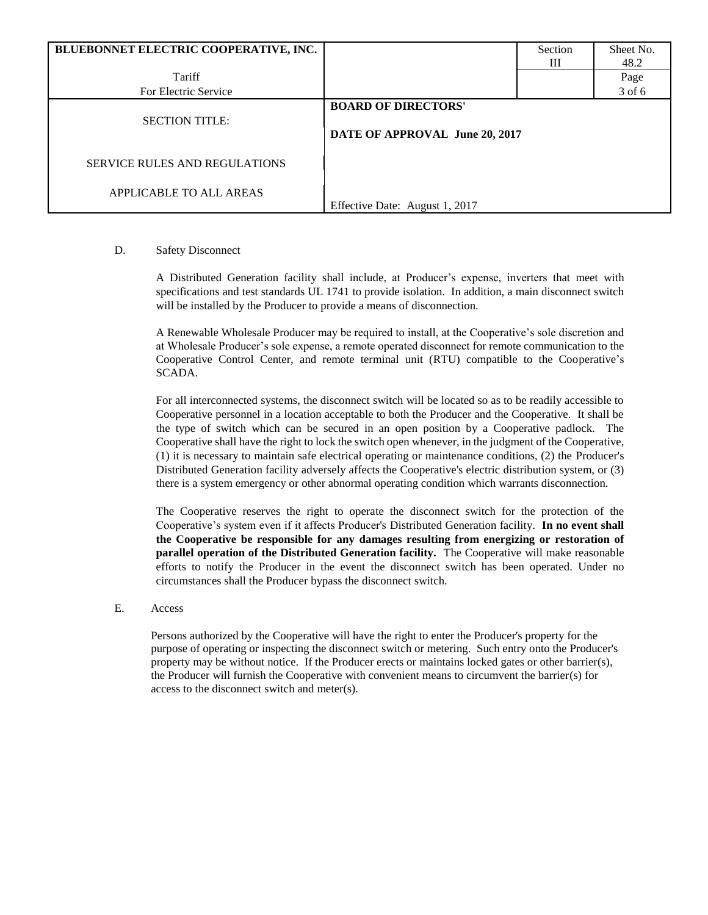| BLUEBONNET ELECTRIC COOPERATIVE, INC. |                                                              | Section | Sheet No. |
|---------------------------------------|--------------------------------------------------------------|---------|-----------|
|                                       |                                                              | Ш       | 48.2      |
| Tariff                                |                                                              |         | Page      |
| For Electric Service                  |                                                              |         | 3 of 6    |
| <b>SECTION TITLE:</b>                 | <b>BOARD OF DIRECTORS'</b><br>DATE OF APPROVAL June 20, 2017 |         |           |
| <b>SERVICE RULES AND REGULATIONS</b>  |                                                              |         |           |
| APPLICABLE TO ALL AREAS               | Effective Date: August 1, 2017                               |         |           |

#### D. Safety Disconnect

A Distributed Generation facility shall include, at Producer's expense, inverters that meet with specifications and test standards UL 1741 to provide isolation. In addition, a main disconnect switch will be installed by the Producer to provide a means of disconnection.

A Renewable Wholesale Producer may be required to install, at the Cooperative's sole discretion and at Wholesale Producer's sole expense, a remote operated disconnect for remote communication to the Cooperative Control Center, and remote terminal unit (RTU) compatible to the Cooperative's SCADA.

For all interconnected systems, the disconnect switch will be located so as to be readily accessible to Cooperative personnel in a location acceptable to both the Producer and the Cooperative. It shall be the type of switch which can be secured in an open position by a Cooperative padlock. The Cooperative shall have the right to lock the switch open whenever, in the judgment of the Cooperative, (1) it is necessary to maintain safe electrical operating or maintenance conditions, (2) the Producer's Distributed Generation facility adversely affects the Cooperative's electric distribution system, or (3) there is a system emergency or other abnormal operating condition which warrants disconnection.

The Cooperative reserves the right to operate the disconnect switch for the protection of the Cooperative's system even if it affects Producer's Distributed Generation facility. **In no event shall the Cooperative be responsible for any damages resulting from energizing or restoration of parallel operation of the Distributed Generation facility.** The Cooperative will make reasonable efforts to notify the Producer in the event the disconnect switch has been operated. Under no circumstances shall the Producer bypass the disconnect switch.

#### E. Access

Persons authorized by the Cooperative will have the right to enter the Producer's property for the purpose of operating or inspecting the disconnect switch or metering. Such entry onto the Producer's property may be without notice. If the Producer erects or maintains locked gates or other barrier(s), the Producer will furnish the Cooperative with convenient means to circumvent the barrier(s) for access to the disconnect switch and meter(s).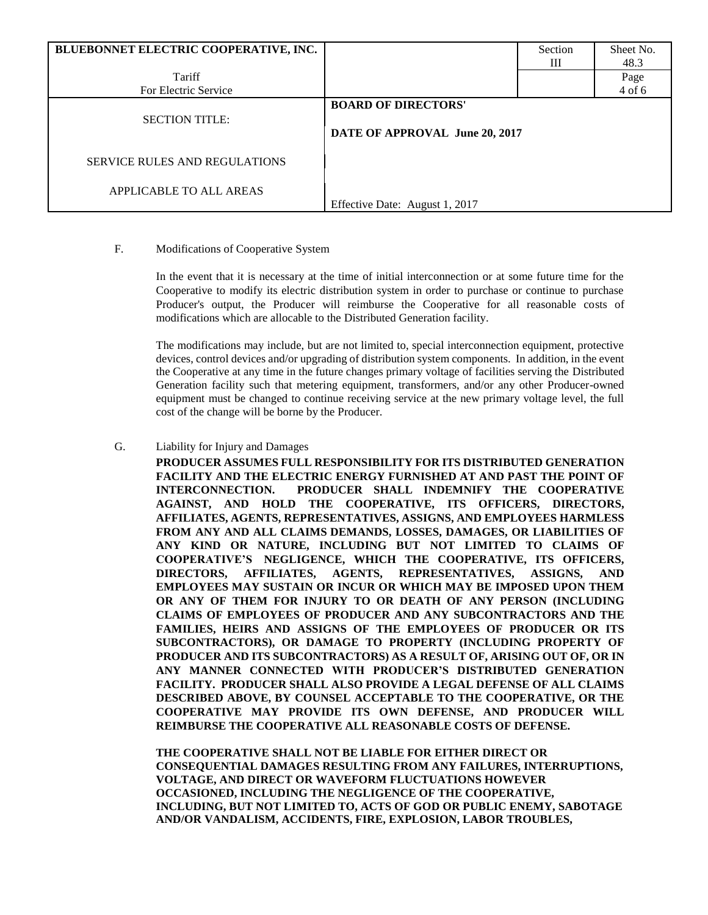| BLUEBONNET ELECTRIC COOPERATIVE, INC. |                                                              | Section | Sheet No. |
|---------------------------------------|--------------------------------------------------------------|---------|-----------|
|                                       |                                                              | Ш       | 48.3      |
| Tariff                                |                                                              |         | Page      |
| For Electric Service                  |                                                              |         | 4 of 6    |
| <b>SECTION TITLE:</b>                 | <b>BOARD OF DIRECTORS'</b><br>DATE OF APPROVAL June 20, 2017 |         |           |
| <b>SERVICE RULES AND REGULATIONS</b>  |                                                              |         |           |
| APPLICABLE TO ALL AREAS               |                                                              |         |           |
|                                       | Effective Date: August 1, 2017                               |         |           |

#### F. Modifications of Cooperative System

In the event that it is necessary at the time of initial interconnection or at some future time for the Cooperative to modify its electric distribution system in order to purchase or continue to purchase Producer's output, the Producer will reimburse the Cooperative for all reasonable costs of modifications which are allocable to the Distributed Generation facility.

The modifications may include, but are not limited to, special interconnection equipment, protective devices, control devices and/or upgrading of distribution system components. In addition, in the event the Cooperative at any time in the future changes primary voltage of facilities serving the Distributed Generation facility such that metering equipment, transformers, and/or any other Producer-owned equipment must be changed to continue receiving service at the new primary voltage level, the full cost of the change will be borne by the Producer.

#### G. Liability for Injury and Damages

**PRODUCER ASSUMES FULL RESPONSIBILITY FOR ITS DISTRIBUTED GENERATION FACILITY AND THE ELECTRIC ENERGY FURNISHED AT AND PAST THE POINT OF INTERCONNECTION. PRODUCER SHALL INDEMNIFY THE COOPERATIVE AGAINST, AND HOLD THE COOPERATIVE, ITS OFFICERS, DIRECTORS, AFFILIATES, AGENTS, REPRESENTATIVES, ASSIGNS, AND EMPLOYEES HARMLESS FROM ANY AND ALL CLAIMS DEMANDS, LOSSES, DAMAGES, OR LIABILITIES OF ANY KIND OR NATURE, INCLUDING BUT NOT LIMITED TO CLAIMS OF COOPERATIVE'S NEGLIGENCE, WHICH THE COOPERATIVE, ITS OFFICERS, DIRECTORS, AFFILIATES, AGENTS, REPRESENTATIVES, ASSIGNS, AND EMPLOYEES MAY SUSTAIN OR INCUR OR WHICH MAY BE IMPOSED UPON THEM OR ANY OF THEM FOR INJURY TO OR DEATH OF ANY PERSON (INCLUDING CLAIMS OF EMPLOYEES OF PRODUCER AND ANY SUBCONTRACTORS AND THE FAMILIES, HEIRS AND ASSIGNS OF THE EMPLOYEES OF PRODUCER OR ITS SUBCONTRACTORS), OR DAMAGE TO PROPERTY (INCLUDING PROPERTY OF PRODUCER AND ITS SUBCONTRACTORS) AS A RESULT OF, ARISING OUT OF, OR IN ANY MANNER CONNECTED WITH PRODUCER'S DISTRIBUTED GENERATION FACILITY. PRODUCER SHALL ALSO PROVIDE A LEGAL DEFENSE OF ALL CLAIMS DESCRIBED ABOVE, BY COUNSEL ACCEPTABLE TO THE COOPERATIVE, OR THE COOPERATIVE MAY PROVIDE ITS OWN DEFENSE, AND PRODUCER WILL REIMBURSE THE COOPERATIVE ALL REASONABLE COSTS OF DEFENSE.**

**THE COOPERATIVE SHALL NOT BE LIABLE FOR EITHER DIRECT OR CONSEQUENTIAL DAMAGES RESULTING FROM ANY FAILURES, INTERRUPTIONS, VOLTAGE, AND DIRECT OR WAVEFORM FLUCTUATIONS HOWEVER OCCASIONED, INCLUDING THE NEGLIGENCE OF THE COOPERATIVE, INCLUDING, BUT NOT LIMITED TO, ACTS OF GOD OR PUBLIC ENEMY, SABOTAGE AND/OR VANDALISM, ACCIDENTS, FIRE, EXPLOSION, LABOR TROUBLES,**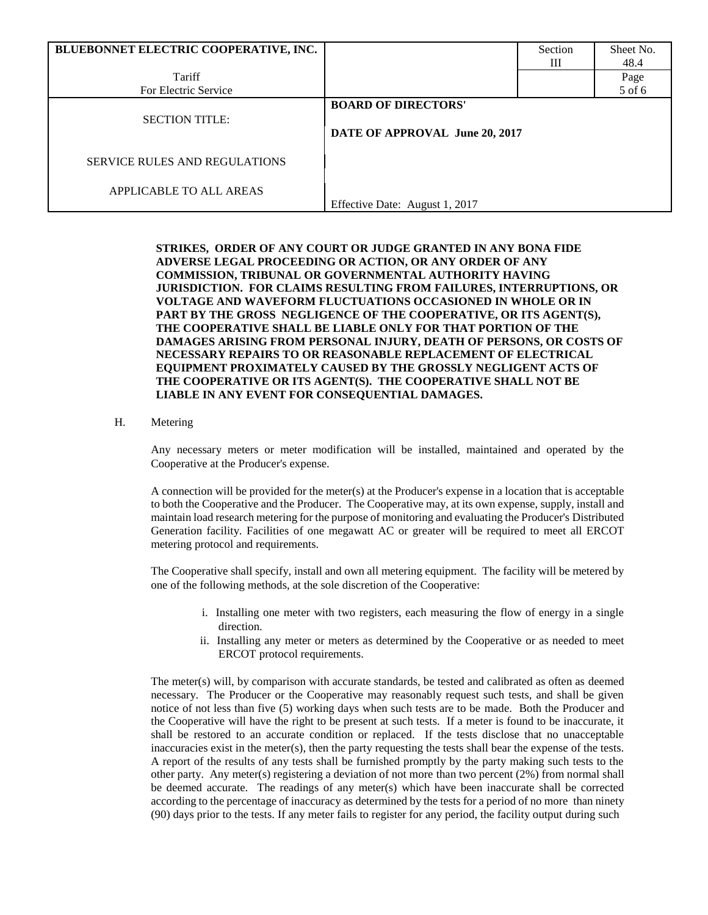| BLUEBONNET ELECTRIC COOPERATIVE, INC. |                                                              | Section | Sheet No. |
|---------------------------------------|--------------------------------------------------------------|---------|-----------|
|                                       |                                                              | Ш       | 48.4      |
| Tariff                                |                                                              |         | Page      |
| For Electric Service                  |                                                              |         | 5 of 6    |
| <b>SECTION TITLE:</b>                 | <b>BOARD OF DIRECTORS'</b><br>DATE OF APPROVAL June 20, 2017 |         |           |
| <b>SERVICE RULES AND REGULATIONS</b>  |                                                              |         |           |
| APPLICABLE TO ALL AREAS               | Effective Date: August 1, 2017                               |         |           |

**STRIKES, ORDER OF ANY COURT OR JUDGE GRANTED IN ANY BONA FIDE ADVERSE LEGAL PROCEEDING OR ACTION, OR ANY ORDER OF ANY COMMISSION, TRIBUNAL OR GOVERNMENTAL AUTHORITY HAVING JURISDICTION. FOR CLAIMS RESULTING FROM FAILURES, INTERRUPTIONS, OR VOLTAGE AND WAVEFORM FLUCTUATIONS OCCASIONED IN WHOLE OR IN PART BY THE GROSS NEGLIGENCE OF THE COOPERATIVE, OR ITS AGENT(S), THE COOPERATIVE SHALL BE LIABLE ONLY FOR THAT PORTION OF THE DAMAGES ARISING FROM PERSONAL INJURY, DEATH OF PERSONS, OR COSTS OF NECESSARY REPAIRS TO OR REASONABLE REPLACEMENT OF ELECTRICAL EQUIPMENT PROXIMATELY CAUSED BY THE GROSSLY NEGLIGENT ACTS OF THE COOPERATIVE OR ITS AGENT(S). THE COOPERATIVE SHALL NOT BE LIABLE IN ANY EVENT FOR CONSEQUENTIAL DAMAGES.**

#### H. Metering

Any necessary meters or meter modification will be installed, maintained and operated by the Cooperative at the Producer's expense.

A connection will be provided for the meter(s) at the Producer's expense in a location that is acceptable to both the Cooperative and the Producer. The Cooperative may, at its own expense, supply, install and maintain load research metering for the purpose of monitoring and evaluating the Producer's Distributed Generation facility. Facilities of one megawatt AC or greater will be required to meet all ERCOT metering protocol and requirements.

The Cooperative shall specify, install and own all metering equipment. The facility will be metered by one of the following methods, at the sole discretion of the Cooperative:

- i. Installing one meter with two registers, each measuring the flow of energy in a single direction.
- ii. Installing any meter or meters as determined by the Cooperative or as needed to meet ERCOT protocol requirements.

The meter(s) will, by comparison with accurate standards, be tested and calibrated as often as deemed necessary. The Producer or the Cooperative may reasonably request such tests, and shall be given notice of not less than five (5) working days when such tests are to be made. Both the Producer and the Cooperative will have the right to be present at such tests. If a meter is found to be inaccurate, it shall be restored to an accurate condition or replaced. If the tests disclose that no unacceptable inaccuracies exist in the meter(s), then the party requesting the tests shall bear the expense of the tests. A report of the results of any tests shall be furnished promptly by the party making such tests to the other party. Any meter(s) registering a deviation of not more than two percent (2%) from normal shall be deemed accurate. The readings of any meter(s) which have been inaccurate shall be corrected according to the percentage of inaccuracy as determined by the tests for a period of no more than ninety (90) days prior to the tests. If any meter fails to register for any period, the facility output during such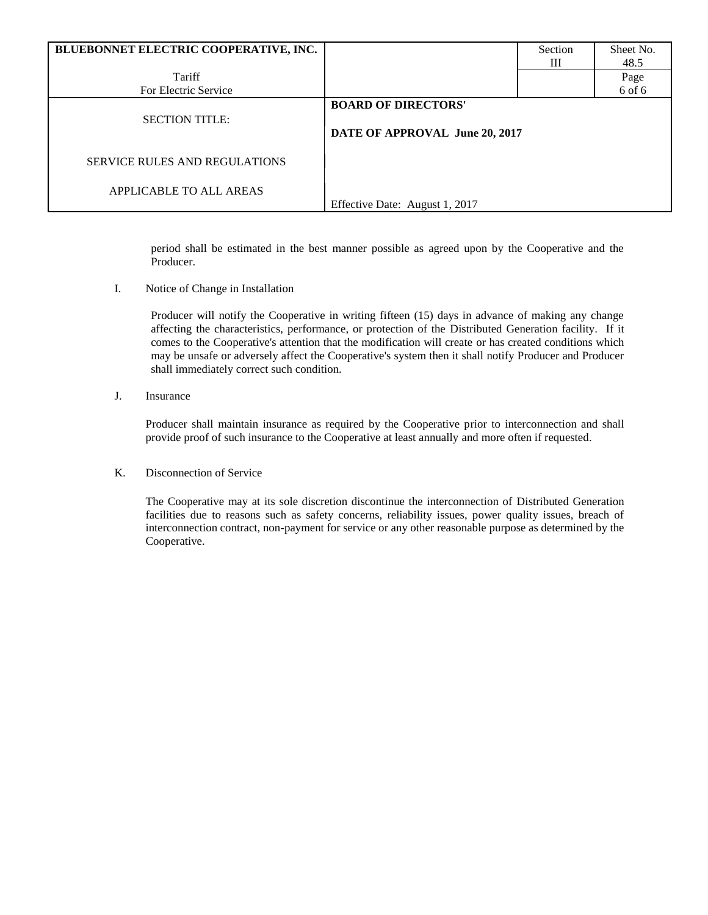| BLUEBONNET ELECTRIC COOPERATIVE, INC. |                                                              | Section | Sheet No. |
|---------------------------------------|--------------------------------------------------------------|---------|-----------|
|                                       |                                                              | Ш       | 48.5      |
| Tariff                                |                                                              |         | Page      |
| For Electric Service                  |                                                              |         | 6 of 6    |
| <b>SECTION TITLE:</b>                 | <b>BOARD OF DIRECTORS'</b><br>DATE OF APPROVAL June 20, 2017 |         |           |
| <b>SERVICE RULES AND REGULATIONS</b>  |                                                              |         |           |
| APPLICABLE TO ALL AREAS               | Effective Date: August 1, 2017                               |         |           |

period shall be estimated in the best manner possible as agreed upon by the Cooperative and the Producer.

I. Notice of Change in Installation

Producer will notify the Cooperative in writing fifteen (15) days in advance of making any change affecting the characteristics, performance, or protection of the Distributed Generation facility. If it comes to the Cooperative's attention that the modification will create or has created conditions which may be unsafe or adversely affect the Cooperative's system then it shall notify Producer and Producer shall immediately correct such condition.

J. Insurance

Producer shall maintain insurance as required by the Cooperative prior to interconnection and shall provide proof of such insurance to the Cooperative at least annually and more often if requested.

K. Disconnection of Service

The Cooperative may at its sole discretion discontinue the interconnection of Distributed Generation facilities due to reasons such as safety concerns, reliability issues, power quality issues, breach of interconnection contract, non-payment for service or any other reasonable purpose as determined by the Cooperative.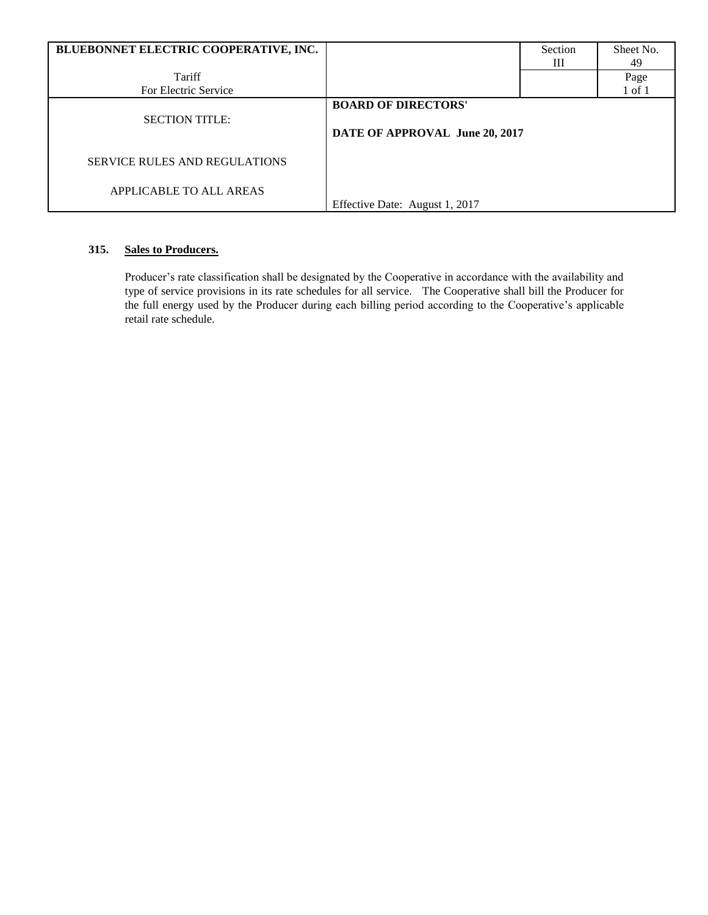| BLUEBONNET ELECTRIC COOPERATIVE, INC. |                                                              | Section<br>Ш | Sheet No.<br>49 |
|---------------------------------------|--------------------------------------------------------------|--------------|-----------------|
| Tariff                                |                                                              |              | Page            |
| For Electric Service                  |                                                              |              | $1$ of $1$      |
| <b>SECTION TITLE:</b>                 | <b>BOARD OF DIRECTORS'</b><br>DATE OF APPROVAL June 20, 2017 |              |                 |
| <b>SERVICE RULES AND REGULATIONS</b>  |                                                              |              |                 |
| APPLICABLE TO ALL AREAS               | Effective Date: August 1, 2017                               |              |                 |

# **315. Sales to Producers.**

Producer's rate classification shall be designated by the Cooperative in accordance with the availability and type of service provisions in its rate schedules for all service. The Cooperative shall bill the Producer for the full energy used by the Producer during each billing period according to the Cooperative's applicable retail rate schedule.